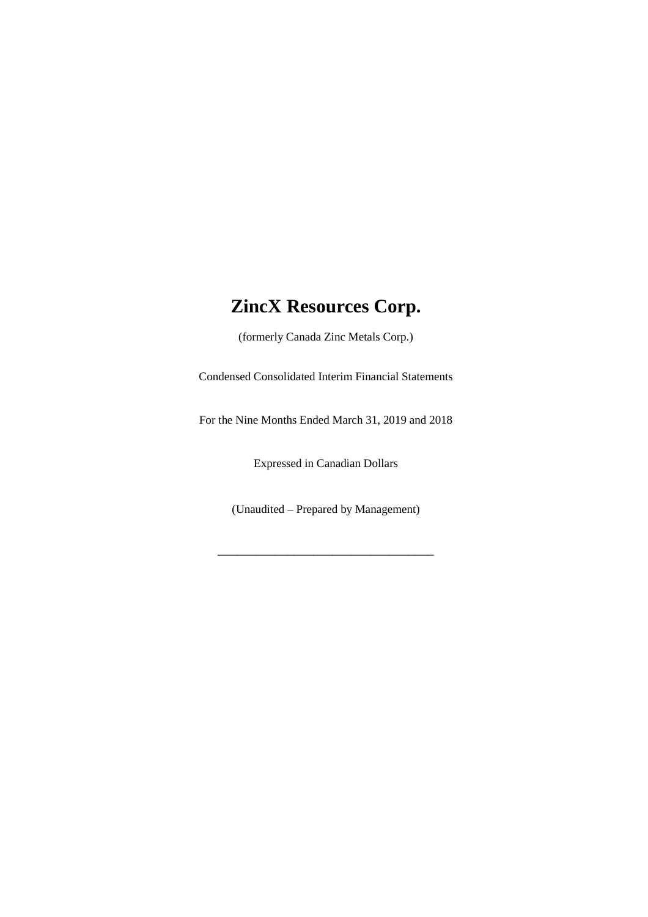(formerly Canada Zinc Metals Corp.)

Condensed Consolidated Interim Financial Statements

For the Nine Months Ended March 31, 2019 and 2018

Expressed in Canadian Dollars

(Unaudited – Prepared by Management)

\_\_\_\_\_\_\_\_\_\_\_\_\_\_\_\_\_\_\_\_\_\_\_\_\_\_\_\_\_\_\_\_\_\_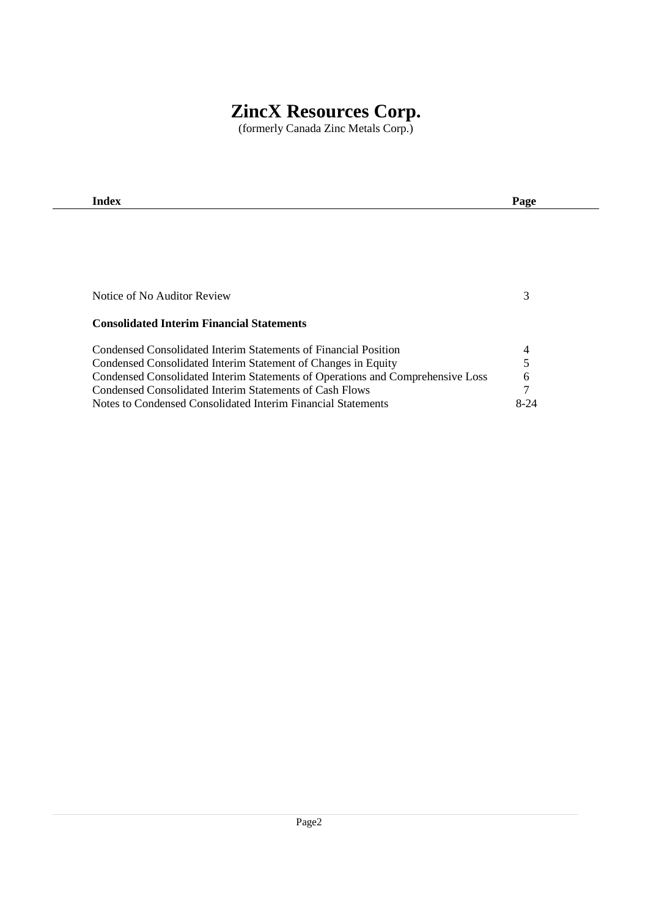(formerly Canada Zinc Metals Corp.)

| Index                                                                          | Page   |
|--------------------------------------------------------------------------------|--------|
|                                                                                |        |
|                                                                                |        |
|                                                                                |        |
|                                                                                |        |
|                                                                                |        |
| Notice of No Auditor Review                                                    | 3      |
|                                                                                |        |
| <b>Consolidated Interim Financial Statements</b>                               |        |
| Condensed Consolidated Interim Statements of Financial Position                | 4      |
| Condensed Consolidated Interim Statement of Changes in Equity                  | 5      |
| Condensed Consolidated Interim Statements of Operations and Comprehensive Loss | 6      |
| Condensed Consolidated Interim Statements of Cash Flows                        | 7      |
| Notes to Condensed Consolidated Interim Financial Statements                   | $8-24$ |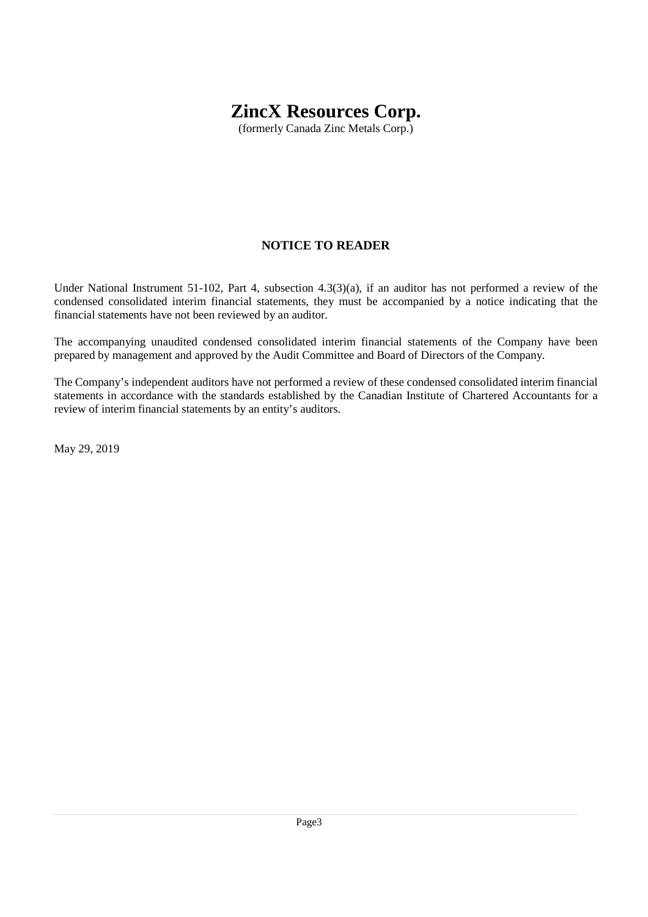(formerly Canada Zinc Metals Corp.)

# **NOTICE TO READER**

Under National Instrument 51-102, Part 4, subsection 4.3(3)(a), if an auditor has not performed a review of the condensed consolidated interim financial statements, they must be accompanied by a notice indicating that the financial statements have not been reviewed by an auditor.

The accompanying unaudited condensed consolidated interim financial statements of the Company have been prepared by management and approved by the Audit Committee and Board of Directors of the Company.

The Company's independent auditors have not performed a review of these condensed consolidated interim financial statements in accordance with the standards established by the Canadian Institute of Chartered Accountants for a review of interim financial statements by an entity's auditors.

May 29, 2019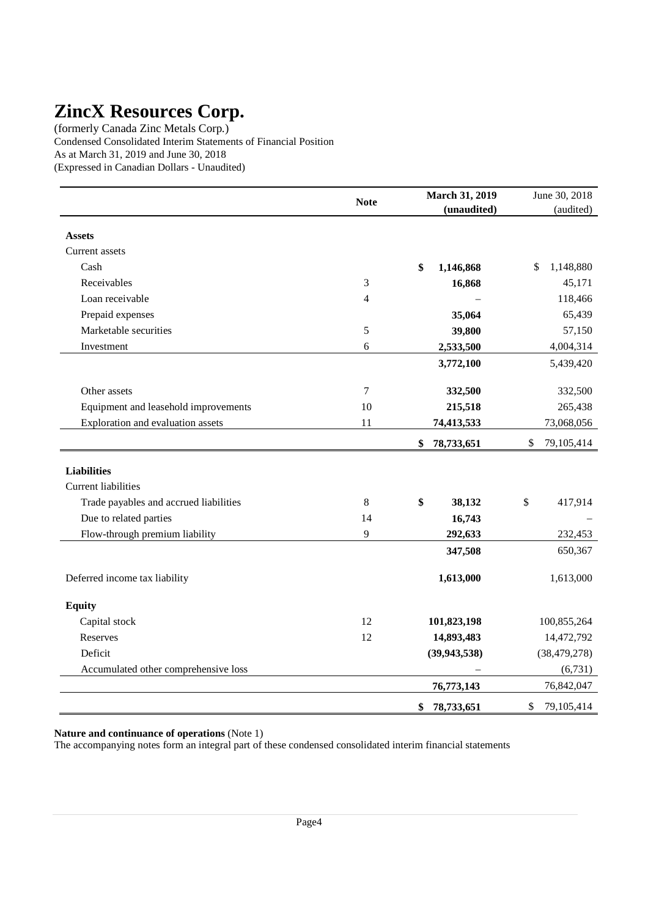(formerly Canada Zinc Metals Corp.) Condensed Consolidated Interim Statements of Financial Position As at March 31, 2019 and June 30, 2018 (Expressed in Canadian Dollars - Unaudited)

|                                        | <b>Note</b>      | March 31, 2019   | June 30, 2018    |
|----------------------------------------|------------------|------------------|------------------|
|                                        |                  | (unaudited)      | (audited)        |
| <b>Assets</b>                          |                  |                  |                  |
| Current assets                         |                  |                  |                  |
| Cash                                   |                  | \$<br>1,146,868  | 1,148,880<br>\$  |
| Receivables                            | 3                | 16,868           | 45,171           |
| Loan receivable                        | 4                |                  | 118,466          |
| Prepaid expenses                       |                  | 35,064           | 65,439           |
| Marketable securities                  | 5                | 39,800           | 57,150           |
| Investment                             | 6                | 2,533,500        | 4,004,314        |
|                                        |                  | 3,772,100        | 5,439,420        |
| Other assets                           | $\boldsymbol{7}$ | 332,500          | 332,500          |
| Equipment and leasehold improvements   | 10               | 215,518          | 265,438          |
| Exploration and evaluation assets      | 11               | 74,413,533       | 73,068,056       |
|                                        |                  | \$<br>78,733,651 | \$<br>79,105,414 |
| <b>Liabilities</b>                     |                  |                  |                  |
| <b>Current liabilities</b>             |                  |                  |                  |
| Trade payables and accrued liabilities | 8                | \$<br>38,132     | \$<br>417,914    |
| Due to related parties                 | 14               | 16,743           |                  |
| Flow-through premium liability         | 9                | 292,633          | 232,453          |
|                                        |                  | 347,508          | 650,367          |
| Deferred income tax liability          |                  | 1,613,000        | 1,613,000        |
| <b>Equity</b>                          |                  |                  |                  |
| Capital stock                          | 12               | 101,823,198      | 100,855,264      |
| Reserves                               | 12               | 14,893,483       | 14,472,792       |
| Deficit                                |                  | (39, 943, 538)   | (38, 479, 278)   |
| Accumulated other comprehensive loss   |                  |                  | (6,731)          |
|                                        |                  | 76,773,143       | 76,842,047       |
|                                        |                  | 78,733,651<br>\$ | 79,105,414<br>\$ |

**Nature and continuance of operations** (Note 1)

The accompanying notes form an integral part of these condensed consolidated interim financial statements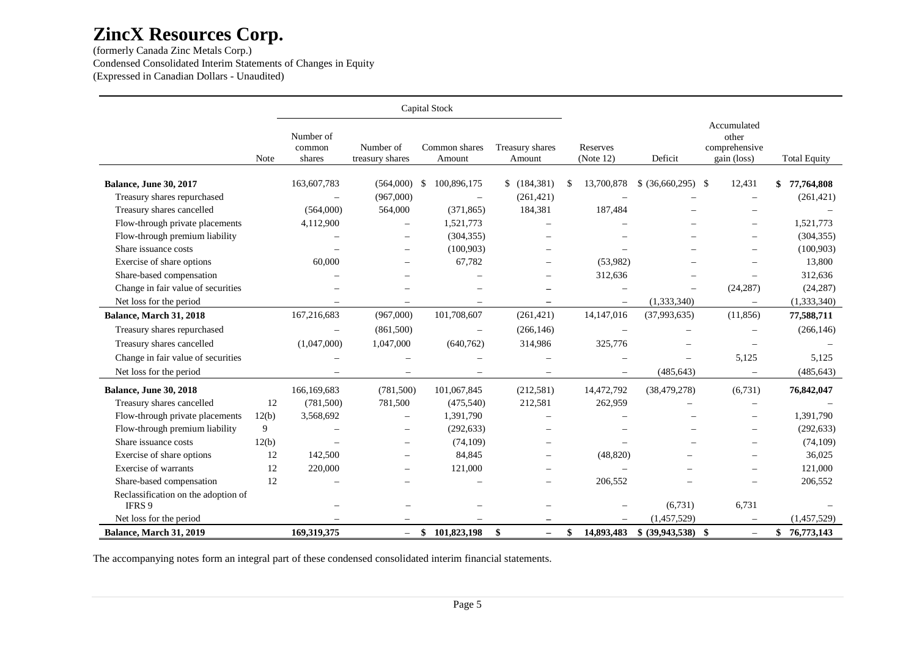(formerly Canada Zinc Metals Corp.) Condensed Consolidated Interim Statements of Changes in Equity (Expressed in Canadian Dollars - Unaudited)

|                                               |       |                               |                              |     | Capital Stock            |                                |                          |                          |                                                      |                     |
|-----------------------------------------------|-------|-------------------------------|------------------------------|-----|--------------------------|--------------------------------|--------------------------|--------------------------|------------------------------------------------------|---------------------|
|                                               | Note  | Number of<br>common<br>shares | Number of<br>treasury shares |     | Common shares<br>Amount  | Treasury shares<br>Amount      | Reserves<br>(Note 12)    | Deficit                  | Accumulated<br>other<br>comprehensive<br>gain (loss) | <b>Total Equity</b> |
| <b>Balance, June 30, 2017</b>                 |       | 163,607,783                   | (564,000)                    | -\$ | 100,896,175              | \$(184,381)                    | \$<br>13,700,878         | $$$ (36,660,295) \,      | 12,431                                               | 77,764,808<br>\$    |
| Treasury shares repurchased                   |       |                               | (967,000)                    |     | $\overline{\phantom{m}}$ | (261, 421)                     |                          |                          |                                                      | (261, 421)          |
| Treasury shares cancelled                     |       | (564,000)                     | 564,000                      |     | (371, 865)               | 184,381                        | 187,484                  |                          |                                                      |                     |
| Flow-through private placements               |       | 4,112,900                     |                              |     | 1,521,773                |                                |                          |                          | $\overline{\phantom{0}}$                             | 1,521,773           |
| Flow-through premium liability                |       |                               |                              |     | (304, 355)               |                                |                          |                          |                                                      | (304, 355)          |
| Share issuance costs                          |       |                               |                              |     | (100, 903)               |                                |                          |                          |                                                      | (100, 903)          |
| Exercise of share options                     |       | 60,000                        |                              |     | 67,782                   | $\overline{\phantom{0}}$       | (53,982)                 |                          |                                                      | 13,800              |
| Share-based compensation                      |       |                               |                              |     |                          |                                | 312,636                  |                          |                                                      | 312,636             |
| Change in fair value of securities            |       |                               | $\overline{\phantom{0}}$     |     |                          |                                | $\overline{\phantom{0}}$ | $\overline{\phantom{0}}$ | (24, 287)                                            | (24, 287)           |
| Net loss for the period                       |       |                               | $\overline{\phantom{m}}$     |     |                          | $\overline{\phantom{m}}$       | $\qquad \qquad -$        | (1,333,340)              | $\overline{\phantom{0}}$                             | (1,333,340)         |
| Balance, March 31, 2018                       |       | 167,216,683                   | (967,000)                    |     | 101,708,607              | (261, 421)                     | 14, 147, 016             | (37,993,635)             | (11, 856)                                            | 77,588,711          |
| Treasury shares repurchased                   |       |                               | (861,500)                    |     | $\overline{\phantom{m}}$ | (266, 146)                     |                          |                          |                                                      | (266, 146)          |
| Treasury shares cancelled                     |       | (1,047,000)                   | 1,047,000                    |     | (640, 762)               | 314,986                        | 325,776                  |                          |                                                      |                     |
| Change in fair value of securities            |       |                               |                              |     |                          |                                |                          |                          | 5,125                                                | 5,125               |
| Net loss for the period                       |       |                               | $\overline{\phantom{m}}$     |     |                          | $\overline{\phantom{m}}$       | $\overline{\phantom{m}}$ | (485, 643)               | $\overline{\phantom{m}}$                             | (485, 643)          |
| Balance, June 30, 2018                        |       | 166,169,683                   | (781,500)                    |     | 101,067,845              | (212,581)                      | 14,472,792               | (38, 479, 278)           | (6,731)                                              | 76,842,047          |
| Treasury shares cancelled                     | 12    | (781,500)                     | 781,500                      |     | (475,540)                | 212,581                        | 262,959                  |                          |                                                      |                     |
| Flow-through private placements               | 12(b) | 3,568,692                     | $\overline{\phantom{0}}$     |     | 1,391,790                | $\overline{\phantom{0}}$       |                          |                          | $\overline{\phantom{0}}$                             | 1,391,790           |
| Flow-through premium liability                | 9     |                               |                              |     | (292, 633)               |                                |                          |                          |                                                      | (292, 633)          |
| Share issuance costs                          | 12(b) |                               | $\overline{\phantom{0}}$     |     | (74,109)                 | $\overline{\phantom{0}}$       |                          |                          |                                                      | (74, 109)           |
| Exercise of share options                     | 12    | 142,500                       | $\overline{\phantom{0}}$     |     | 84,845                   |                                | (48, 820)                |                          |                                                      | 36,025              |
| Exercise of warrants                          | 12    | 220,000                       | $\equiv$                     |     | 121,000                  | $\overline{\phantom{0}}$       |                          |                          |                                                      | 121,000             |
| Share-based compensation                      | 12    |                               |                              |     |                          |                                | 206,552                  |                          |                                                      | 206,552             |
| Reclassification on the adoption of<br>IFRS 9 |       |                               |                              |     |                          |                                |                          | (6,731)                  | 6,731                                                |                     |
| Net loss for the period                       |       |                               |                              |     |                          |                                |                          | (1,457,529)              |                                                      | (1,457,529)         |
| Balance, March 31, 2019                       |       | 169,319,375                   | $-$                          | \$  | 101,823,198              | \$<br>$\overline{\phantom{0}}$ | \$<br>14,893,483         | $$ (39,943,538)$ \\$     | $\overline{\phantom{m}}$                             | \$76,773,143        |

The accompanying notes form an integral part of these condensed consolidated interim financial statements.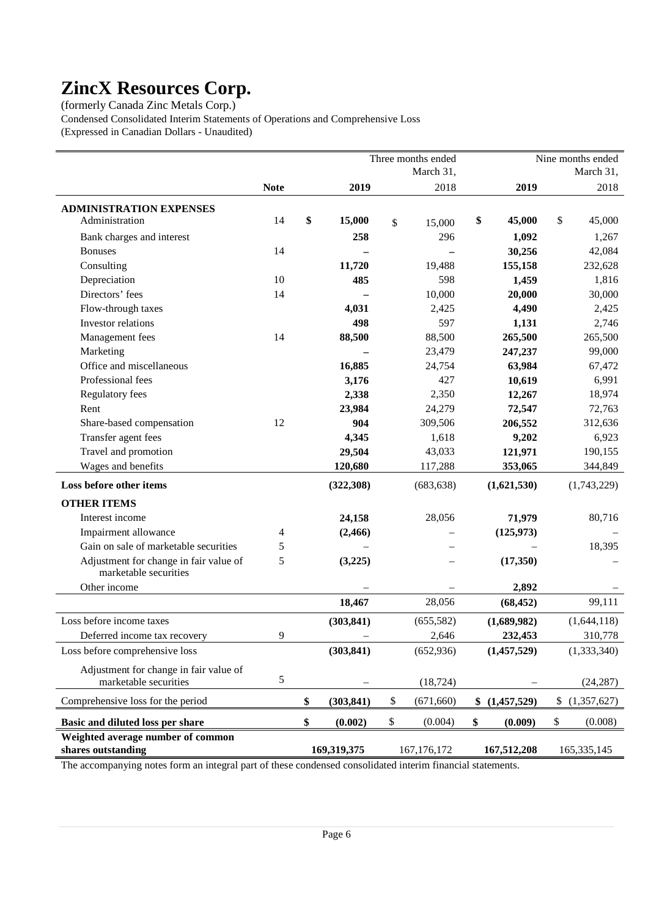(formerly Canada Zinc Metals Corp.)

Condensed Consolidated Interim Statements of Operations and Comprehensive Loss (Expressed in Canadian Dollars - Unaudited)

|                                                                 |             |                  | Three months ended |                   | Nine months ended |
|-----------------------------------------------------------------|-------------|------------------|--------------------|-------------------|-------------------|
|                                                                 |             |                  | March 31,          |                   | March 31,         |
|                                                                 | <b>Note</b> | 2019             | 2018               | 2019              | 2018              |
| <b>ADMINISTRATION EXPENSES</b>                                  |             |                  |                    |                   |                   |
| Administration                                                  | 14          | \$<br>15,000     | \$<br>15,000       | \$<br>45,000      | \$<br>45,000      |
| Bank charges and interest                                       |             | 258              | 296                | 1,092             | 1,267             |
| <b>Bonuses</b>                                                  | 14          |                  |                    | 30,256            | 42,084            |
| Consulting                                                      |             | 11,720           | 19,488             | 155,158           | 232,628           |
| Depreciation                                                    | 10          | 485              | 598                | 1,459             | 1,816             |
| Directors' fees                                                 | 14          |                  | 10,000             | 20,000            | 30,000            |
| Flow-through taxes                                              |             | 4,031            | 2,425              | 4,490             | 2,425             |
| Investor relations                                              |             | 498              | 597                | 1,131             | 2,746             |
| Management fees                                                 | 14          | 88,500           | 88,500             | 265,500           | 265,500           |
| Marketing                                                       |             |                  | 23,479             | 247,237           | 99,000            |
| Office and miscellaneous                                        |             | 16,885           | 24,754             | 63,984            | 67,472            |
| Professional fees                                               |             | 3,176            | 427                | 10,619            | 6,991             |
| Regulatory fees                                                 |             | 2,338            | 2,350              | 12,267            | 18,974            |
| Rent                                                            |             | 23,984           | 24,279             | 72,547            | 72,763            |
| Share-based compensation                                        | 12          | 904              | 309,506            | 206,552           | 312,636           |
| Transfer agent fees                                             |             | 4,345            | 1,618              | 9,202             | 6,923             |
| Travel and promotion                                            |             | 29,504           | 43,033             | 121,971           | 190,155           |
| Wages and benefits                                              |             | 120,680          | 117,288            | 353,065           | 344,849           |
| Loss before other items                                         |             | (322, 308)       | (683, 638)         | (1,621,530)       | (1,743,229)       |
| <b>OTHER ITEMS</b>                                              |             |                  |                    |                   |                   |
| Interest income                                                 |             | 24,158           | 28,056             | 71,979            | 80,716            |
| Impairment allowance                                            | 4           | (2, 466)         |                    | (125, 973)        |                   |
| Gain on sale of marketable securities                           | 5           |                  |                    |                   | 18,395            |
| Adjustment for change in fair value of                          | 5           | (3,225)          |                    | (17,350)          |                   |
| marketable securities                                           |             |                  |                    |                   |                   |
| Other income                                                    |             |                  |                    | 2,892             |                   |
|                                                                 |             | 18,467           | 28,056             | (68, 452)         | 99,111            |
| Loss before income taxes                                        |             | (303, 841)       | (655, 582)         | (1,689,982)       | (1,644,118)       |
| Deferred income tax recovery                                    | 9           |                  | 2,646              | 232,453           | 310,778           |
| Loss before comprehensive loss                                  |             | (303, 841)       | (652, 936)         | (1,457,529)       | (1,333,340)       |
| Adjustment for change in fair value of<br>marketable securities | 5           |                  | (18, 724)          |                   | (24, 287)         |
| Comprehensive loss for the period                               |             | \$<br>(303, 841) | \$<br>(671, 660)   | \$<br>(1,457,529) | \$<br>(1,357,627) |
| Basic and diluted loss per share                                |             | \$<br>(0.002)    | \$<br>(0.004)      | \$<br>(0.009)     | \$<br>(0.008)     |
| Weighted average number of common                               |             |                  |                    |                   |                   |
| shares outstanding                                              |             | 169,319,375      | 167, 176, 172      | 167,512,208       | 165, 335, 145     |

The accompanying notes form an integral part of these condensed consolidated interim financial statements.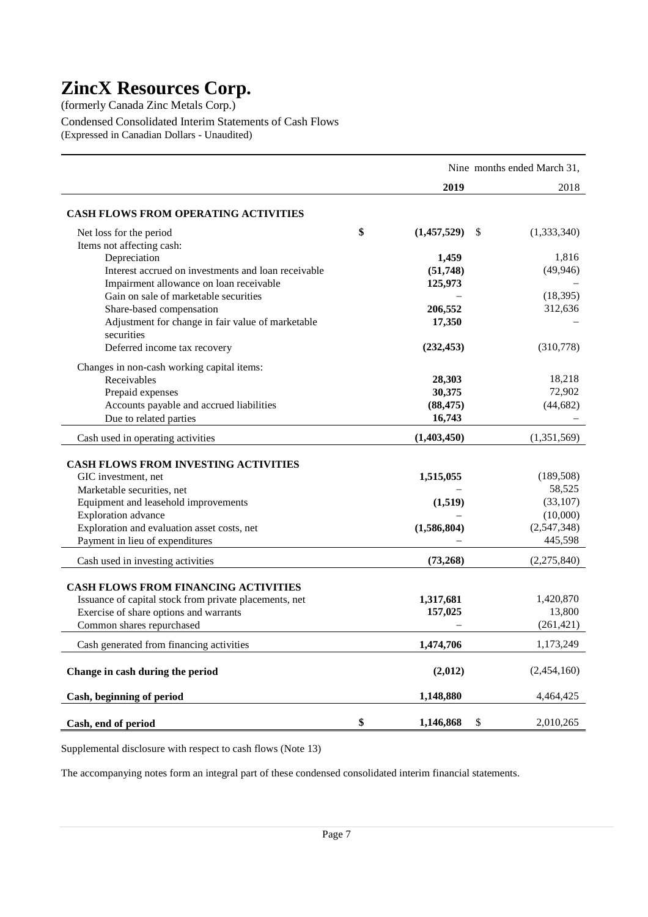(formerly Canada Zinc Metals Corp.)

Condensed Consolidated Interim Statements of Cash Flows (Expressed in Canadian Dollars - Unaudited)

|                                                                     |                      |      | Nine months ended March 31, |
|---------------------------------------------------------------------|----------------------|------|-----------------------------|
|                                                                     | 2019                 |      | 2018                        |
| <b>CASH FLOWS FROM OPERATING ACTIVITIES</b>                         |                      |      |                             |
| Net loss for the period                                             | \$<br>(1,457,529)    | \$.  | (1,333,340)                 |
| Items not affecting cash:                                           |                      |      |                             |
| Depreciation                                                        | 1,459                |      | 1,816                       |
| Interest accrued on investments and loan receivable                 | (51, 748)            |      | (49, 946)                   |
| Impairment allowance on loan receivable                             | 125,973              |      |                             |
| Gain on sale of marketable securities                               |                      |      | (18, 395)                   |
| Share-based compensation                                            | 206,552              |      | 312,636                     |
| Adjustment for change in fair value of marketable<br>securities     | 17,350               |      |                             |
| Deferred income tax recovery                                        | (232, 453)           |      | (310,778)                   |
|                                                                     |                      |      |                             |
| Changes in non-cash working capital items:                          |                      |      |                             |
| Receivables                                                         | 28,303               |      | 18,218                      |
| Prepaid expenses                                                    | 30,375               |      | 72,902                      |
| Accounts payable and accrued liabilities                            | (88, 475)            |      | (44, 682)                   |
| Due to related parties                                              | 16,743               |      |                             |
| Cash used in operating activities                                   | (1,403,450)          |      | (1,351,569)                 |
|                                                                     |                      |      |                             |
| <b>CASH FLOWS FROM INVESTING ACTIVITIES</b>                         |                      |      |                             |
| GIC investment, net                                                 | 1,515,055            |      | (189, 508)                  |
| Marketable securities, net                                          |                      |      | 58,525                      |
| Equipment and leasehold improvements                                | (1,519)              |      | (33, 107)                   |
| Exploration advance<br>Exploration and evaluation asset costs, net  | (1,586,804)          |      | (10,000)<br>(2,547,348)     |
| Payment in lieu of expenditures                                     |                      |      | 445,598                     |
|                                                                     |                      |      |                             |
| Cash used in investing activities                                   | (73,268)             |      | (2,275,840)                 |
|                                                                     |                      |      |                             |
| <b>CASH FLOWS FROM FINANCING ACTIVITIES</b>                         |                      |      |                             |
| Issuance of capital stock from private placements, net              | 1,317,681<br>157,025 |      | 1,420,870<br>13,800         |
| Exercise of share options and warrants<br>Common shares repurchased |                      |      | (261, 421)                  |
|                                                                     |                      |      |                             |
| Cash generated from financing activities                            | 1,474,706            |      | 1,173,249                   |
| Change in cash during the period                                    | (2,012)              |      | (2,454,160)                 |
| Cash, beginning of period                                           | 1,148,880            |      | 4,464,425                   |
| Cash, end of period                                                 | \$<br>1,146,868      | $\$$ | 2,010,265                   |

Supplemental disclosure with respect to cash flows (Note 13)

The accompanying notes form an integral part of these condensed consolidated interim financial statements.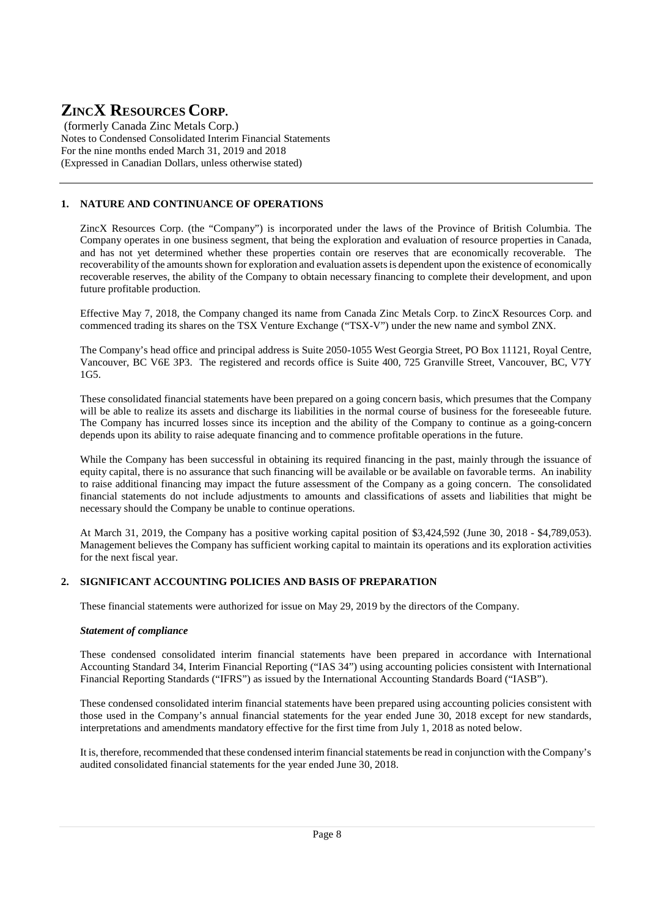(formerly Canada Zinc Metals Corp.) Notes to Condensed Consolidated Interim Financial Statements For the nine months ended March 31, 2019 and 2018 (Expressed in Canadian Dollars, unless otherwise stated)

# **1. NATURE AND CONTINUANCE OF OPERATIONS**

ZincX Resources Corp. (the "Company") is incorporated under the laws of the Province of British Columbia. The Company operates in one business segment, that being the exploration and evaluation of resource properties in Canada, and has not yet determined whether these properties contain ore reserves that are economically recoverable. The recoverability of the amounts shown for exploration and evaluation assets is dependent upon the existence of economically recoverable reserves, the ability of the Company to obtain necessary financing to complete their development, and upon future profitable production.

Effective May 7, 2018, the Company changed its name from Canada Zinc Metals Corp. to ZincX Resources Corp. and commenced trading its shares on the TSX Venture Exchange ("TSX-V") under the new name and symbol ZNX.

The Company's head office and principal address is Suite 2050-1055 West Georgia Street, PO Box 11121, Royal Centre, Vancouver, BC V6E 3P3. The registered and records office is Suite 400, 725 Granville Street, Vancouver, BC, V7Y 1G5.

These consolidated financial statements have been prepared on a going concern basis, which presumes that the Company will be able to realize its assets and discharge its liabilities in the normal course of business for the foreseeable future. The Company has incurred losses since its inception and the ability of the Company to continue as a going-concern depends upon its ability to raise adequate financing and to commence profitable operations in the future.

While the Company has been successful in obtaining its required financing in the past, mainly through the issuance of equity capital, there is no assurance that such financing will be available or be available on favorable terms. An inability to raise additional financing may impact the future assessment of the Company as a going concern. The consolidated financial statements do not include adjustments to amounts and classifications of assets and liabilities that might be necessary should the Company be unable to continue operations.

At March 31, 2019, the Company has a positive working capital position of \$3,424,592 (June 30, 2018 - \$4,789,053). Management believes the Company has sufficient working capital to maintain its operations and its exploration activities for the next fiscal year.

### **2. SIGNIFICANT ACCOUNTING POLICIES AND BASIS OF PREPARATION**

These financial statements were authorized for issue on May 29, 2019 by the directors of the Company.

### *Statement of compliance*

These condensed consolidated interim financial statements have been prepared in accordance with International Accounting Standard 34, Interim Financial Reporting ("IAS 34") using accounting policies consistent with International Financial Reporting Standards ("IFRS") as issued by the International Accounting Standards Board ("IASB").

These condensed consolidated interim financial statements have been prepared using accounting policies consistent with those used in the Company's annual financial statements for the year ended June 30, 2018 except for new standards, interpretations and amendments mandatory effective for the first time from July 1, 2018 as noted below.

It is, therefore, recommended that these condensed interim financial statements be read in conjunction with the Company's audited consolidated financial statements for the year ended June 30, 2018.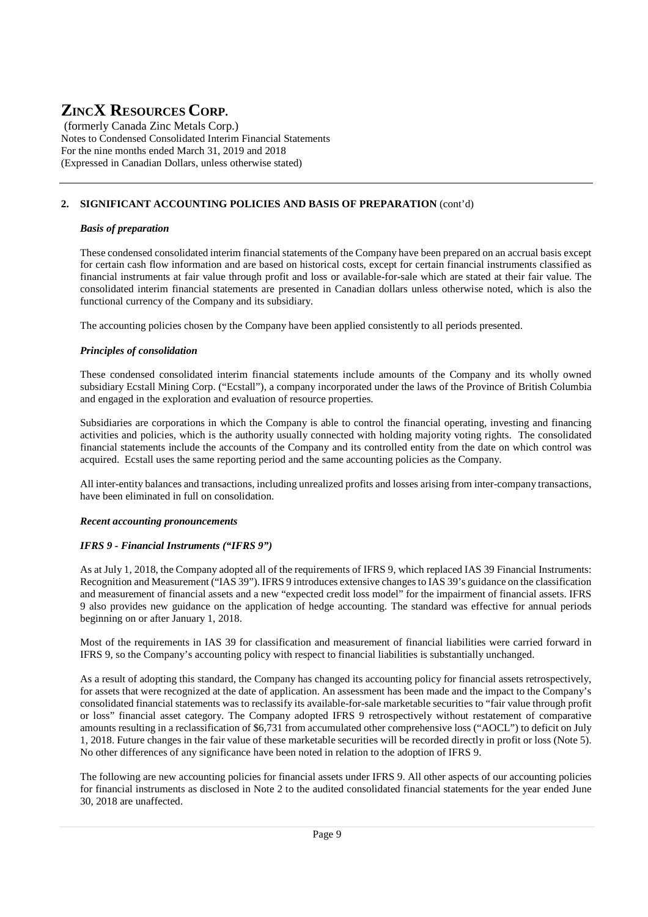(formerly Canada Zinc Metals Corp.) Notes to Condensed Consolidated Interim Financial Statements For the nine months ended March 31, 2019 and 2018 (Expressed in Canadian Dollars, unless otherwise stated)

## **2. SIGNIFICANT ACCOUNTING POLICIES AND BASIS OF PREPARATION** (cont'd)

#### *Basis of preparation*

These condensed consolidated interim financial statements of the Company have been prepared on an accrual basis except for certain cash flow information and are based on historical costs, except for certain financial instruments classified as financial instruments at fair value through profit and loss or available-for-sale which are stated at their fair value. The consolidated interim financial statements are presented in Canadian dollars unless otherwise noted, which is also the functional currency of the Company and its subsidiary.

The accounting policies chosen by the Company have been applied consistently to all periods presented.

#### *Principles of consolidation*

These condensed consolidated interim financial statements include amounts of the Company and its wholly owned subsidiary Ecstall Mining Corp. ("Ecstall"), a company incorporated under the laws of the Province of British Columbia and engaged in the exploration and evaluation of resource properties.

Subsidiaries are corporations in which the Company is able to control the financial operating, investing and financing activities and policies, which is the authority usually connected with holding majority voting rights. The consolidated financial statements include the accounts of the Company and its controlled entity from the date on which control was acquired. Ecstall uses the same reporting period and the same accounting policies as the Company.

All inter-entity balances and transactions, including unrealized profits and losses arising from inter-company transactions, have been eliminated in full on consolidation.

### *Recent accounting pronouncements*

### *IFRS 9 - Financial Instruments ("IFRS 9")*

As at July 1, 2018, the Company adopted all of the requirements of IFRS 9, which replaced IAS 39 Financial Instruments: Recognition and Measurement ("IAS 39"). IFRS 9 introduces extensive changes to IAS 39's guidance on the classification and measurement of financial assets and a new "expected credit loss model" for the impairment of financial assets. IFRS 9 also provides new guidance on the application of hedge accounting. The standard was effective for annual periods beginning on or after January 1, 2018.

Most of the requirements in IAS 39 for classification and measurement of financial liabilities were carried forward in IFRS 9, so the Company's accounting policy with respect to financial liabilities is substantially unchanged.

As a result of adopting this standard, the Company has changed its accounting policy for financial assets retrospectively, for assets that were recognized at the date of application. An assessment has been made and the impact to the Company's consolidated financial statements was to reclassify its available-for-sale marketable securities to "fair value through profit or loss" financial asset category. The Company adopted IFRS 9 retrospectively without restatement of comparative amounts resulting in a reclassification of \$6,731 from accumulated other comprehensive loss ("AOCL") to deficit on July 1, 2018. Future changes in the fair value of these marketable securities will be recorded directly in profit or loss (Note 5). No other differences of any significance have been noted in relation to the adoption of IFRS 9.

The following are new accounting policies for financial assets under IFRS 9. All other aspects of our accounting policies for financial instruments as disclosed in Note 2 to the audited consolidated financial statements for the year ended June 30, 2018 are unaffected.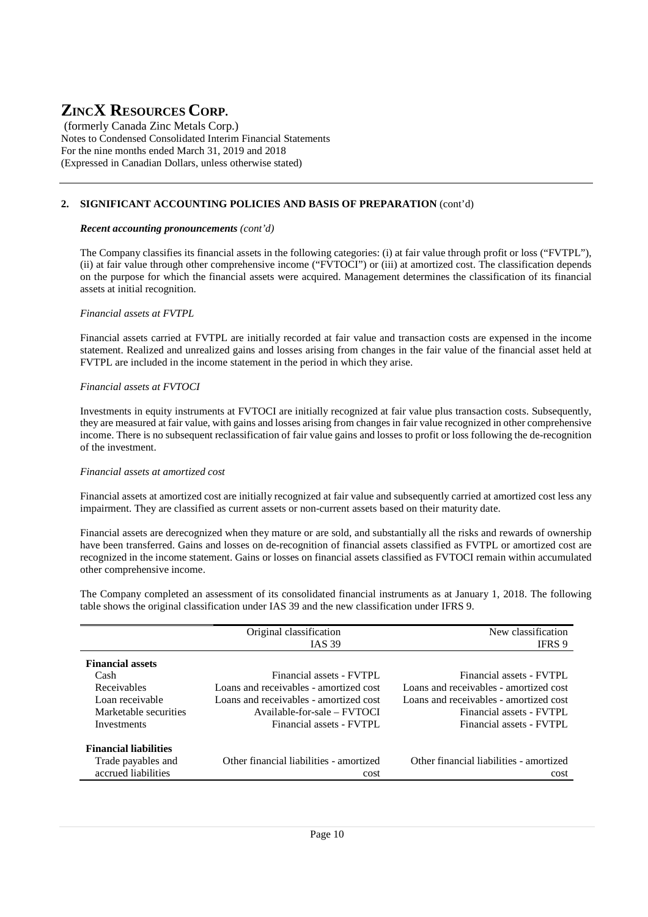(formerly Canada Zinc Metals Corp.) Notes to Condensed Consolidated Interim Financial Statements For the nine months ended March 31, 2019 and 2018 (Expressed in Canadian Dollars, unless otherwise stated)

### **2. SIGNIFICANT ACCOUNTING POLICIES AND BASIS OF PREPARATION** (cont'd)

#### *Recent accounting pronouncements (cont'd)*

The Company classifies its financial assets in the following categories: (i) at fair value through profit or loss ("FVTPL"), (ii) at fair value through other comprehensive income ("FVTOCI") or (iii) at amortized cost. The classification depends on the purpose for which the financial assets were acquired. Management determines the classification of its financial assets at initial recognition.

#### *Financial assets at FVTPL*

Financial assets carried at FVTPL are initially recorded at fair value and transaction costs are expensed in the income statement. Realized and unrealized gains and losses arising from changes in the fair value of the financial asset held at FVTPL are included in the income statement in the period in which they arise.

#### *Financial assets at FVTOCI*

Investments in equity instruments at FVTOCI are initially recognized at fair value plus transaction costs. Subsequently, they are measured at fair value, with gains and losses arising from changes in fair value recognized in other comprehensive income. There is no subsequent reclassification of fair value gains and losses to profit or loss following the de-recognition of the investment.

#### *Financial assets at amortized cost*

Financial assets at amortized cost are initially recognized at fair value and subsequently carried at amortized cost less any impairment. They are classified as current assets or non-current assets based on their maturity date.

Financial assets are derecognized when they mature or are sold, and substantially all the risks and rewards of ownership have been transferred. Gains and losses on de-recognition of financial assets classified as FVTPL or amortized cost are recognized in the income statement. Gains or losses on financial assets classified as FVTOCI remain within accumulated other comprehensive income.

The Company completed an assessment of its consolidated financial instruments as at January 1, 2018. The following table shows the original classification under IAS 39 and the new classification under IFRS 9.

|                              | Original classification                 | New classification                      |
|------------------------------|-----------------------------------------|-----------------------------------------|
|                              | <b>IAS 39</b>                           | IFRS 9                                  |
| <b>Financial assets</b>      |                                         |                                         |
| Cash                         | Financial assets - FVTPL                | Financial assets - FVTPL                |
| Receivables                  | Loans and receivables - amortized cost  | Loans and receivables - amortized cost  |
| Loan receivable              | Loans and receivables - amortized cost  | Loans and receivables - amortized cost  |
| Marketable securities        | Available-for-sale – FVTOCI             | Financial assets - FVTPL                |
| Investments                  | Financial assets - FVTPL                | Financial assets - FVTPL                |
|                              |                                         |                                         |
| <b>Financial liabilities</b> |                                         |                                         |
| Trade payables and           | Other financial liabilities - amortized | Other financial liabilities - amortized |
| accrued liabilities          | cost                                    | cost                                    |
|                              |                                         |                                         |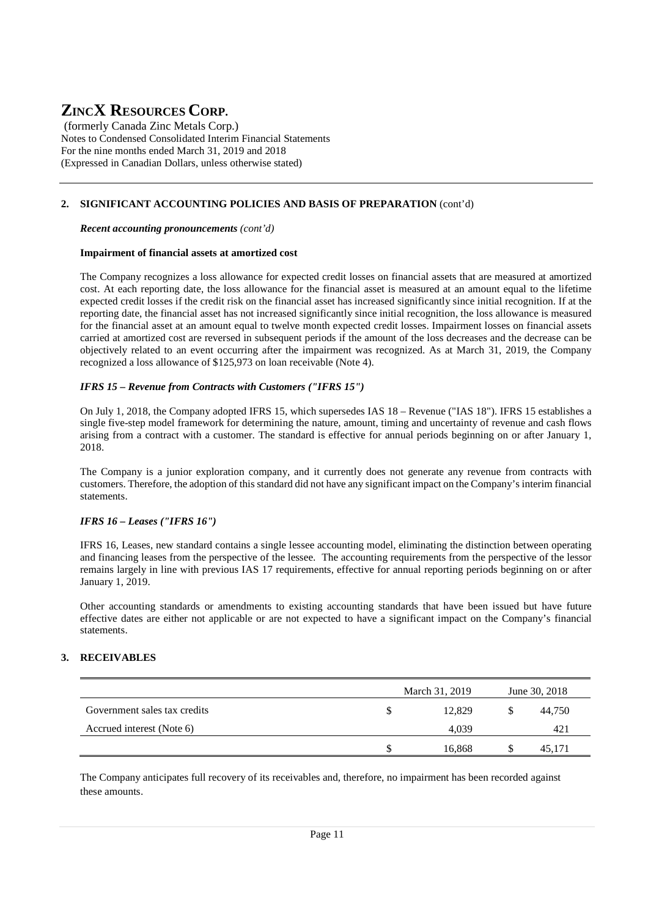(formerly Canada Zinc Metals Corp.) Notes to Condensed Consolidated Interim Financial Statements For the nine months ended March 31, 2019 and 2018 (Expressed in Canadian Dollars, unless otherwise stated)

### **2. SIGNIFICANT ACCOUNTING POLICIES AND BASIS OF PREPARATION** (cont'd)

*Recent accounting pronouncements (cont'd)*

#### **Impairment of financial assets at amortized cost**

The Company recognizes a loss allowance for expected credit losses on financial assets that are measured at amortized cost. At each reporting date, the loss allowance for the financial asset is measured at an amount equal to the lifetime expected credit losses if the credit risk on the financial asset has increased significantly since initial recognition. If at the reporting date, the financial asset has not increased significantly since initial recognition, the loss allowance is measured for the financial asset at an amount equal to twelve month expected credit losses. Impairment losses on financial assets carried at amortized cost are reversed in subsequent periods if the amount of the loss decreases and the decrease can be objectively related to an event occurring after the impairment was recognized. As at March 31, 2019, the Company recognized a loss allowance of \$125,973 on loan receivable (Note 4).

#### *IFRS 15 – Revenue from Contracts with Customers ("IFRS 15")*

On July 1, 2018, the Company adopted IFRS 15, which supersedes IAS 18 – Revenue ("IAS 18"). IFRS 15 establishes a single five-step model framework for determining the nature, amount, timing and uncertainty of revenue and cash flows arising from a contract with a customer. The standard is effective for annual periods beginning on or after January 1, 2018.

The Company is a junior exploration company, and it currently does not generate any revenue from contracts with customers. Therefore, the adoption of this standard did not have any significant impact on the Company's interim financial statements.

#### *IFRS 16 – Leases ("IFRS 16")*

IFRS 16, Leases, new standard contains a single lessee accounting model, eliminating the distinction between operating and financing leases from the perspective of the lessee. The accounting requirements from the perspective of the lessor remains largely in line with previous IAS 17 requirements, effective for annual reporting periods beginning on or after January 1, 2019.

Other accounting standards or amendments to existing accounting standards that have been issued but have future effective dates are either not applicable or are not expected to have a significant impact on the Company's financial statements.

### **3. RECEIVABLES**

|                              | March 31, 2019 | June 30, 2018 |
|------------------------------|----------------|---------------|
| Government sales tax credits | 12.829         | 44,750        |
| Accrued interest (Note 6)    | 4.039          | 421           |
|                              | 16.868         | 45.171        |

The Company anticipates full recovery of its receivables and, therefore, no impairment has been recorded against these amounts.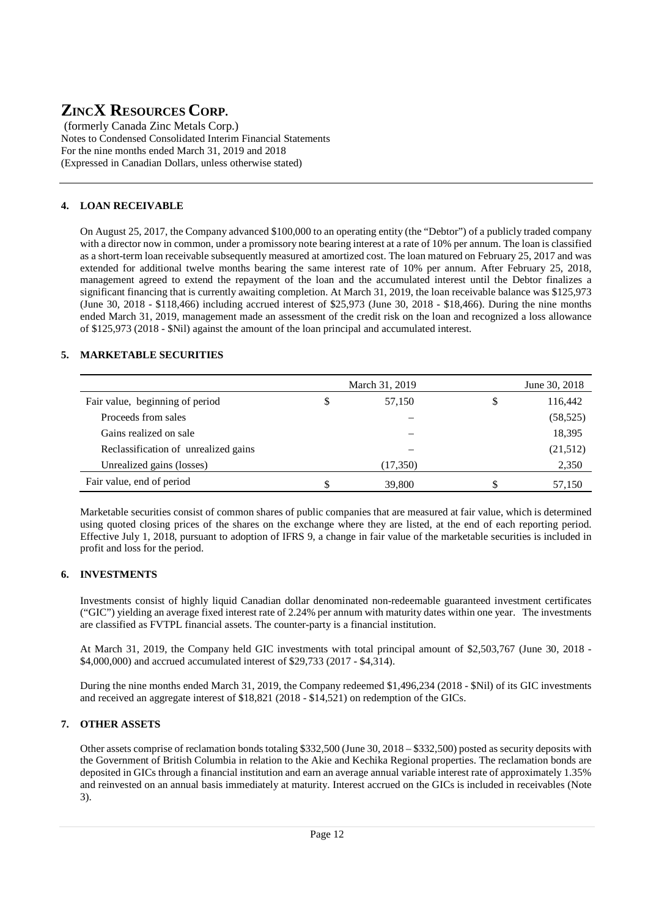(formerly Canada Zinc Metals Corp.) Notes to Condensed Consolidated Interim Financial Statements For the nine months ended March 31, 2019 and 2018 (Expressed in Canadian Dollars, unless otherwise stated)

# **4. LOAN RECEIVABLE**

On August 25, 2017, the Company advanced \$100,000 to an operating entity (the "Debtor") of a publicly traded company with a director now in common, under a promissory note bearing interest at a rate of 10% per annum. The loan is classified as a short-term loan receivable subsequently measured at amortized cost. The loan matured on February 25, 2017 and was extended for additional twelve months bearing the same interest rate of 10% per annum. After February 25, 2018, management agreed to extend the repayment of the loan and the accumulated interest until the Debtor finalizes a significant financing that is currently awaiting completion. At March 31, 2019, the loan receivable balance was \$125,973 (June 30, 2018 - \$118,466) including accrued interest of \$25,973 (June 30, 2018 - \$18,466). During the nine months ended March 31, 2019, management made an assessment of the credit risk on the loan and recognized a loss allowance of \$125,973 (2018 - \$Nil) against the amount of the loan principal and accumulated interest.

## **5. MARKETABLE SECURITIES**

|                                      | March 31, 2019 | June 30, 2018 |               |
|--------------------------------------|----------------|---------------|---------------|
| Fair value, beginning of period      | S              | 57,150        | \$<br>116,442 |
| Proceeds from sales                  |                |               | (58, 525)     |
| Gains realized on sale               |                |               | 18,395        |
| Reclassification of unrealized gains |                |               | (21,512)      |
| Unrealized gains (losses)            |                | (17,350)      | 2,350         |
| Fair value, end of period            | S              | 39,800        | 57,150        |

Marketable securities consist of common shares of public companies that are measured at fair value, which is determined using quoted closing prices of the shares on the exchange where they are listed, at the end of each reporting period. Effective July 1, 2018, pursuant to adoption of IFRS 9, a change in fair value of the marketable securities is included in profit and loss for the period.

## **6. INVESTMENTS**

Investments consist of highly liquid Canadian dollar denominated non-redeemable guaranteed investment certificates ("GIC") yielding an average fixed interest rate of 2.24% per annum with maturity dates within one year. The investments are classified as FVTPL financial assets. The counter-party is a financial institution.

At March 31, 2019, the Company held GIC investments with total principal amount of \$2,503,767 (June 30, 2018 - \$4,000,000) and accrued accumulated interest of \$29,733 (2017 - \$4,314).

During the nine months ended March 31, 2019, the Company redeemed \$1,496,234 (2018 - \$Nil) of its GIC investments and received an aggregate interest of \$18,821 (2018 - \$14,521) on redemption of the GICs.

## **7. OTHER ASSETS**

Other assets comprise of reclamation bonds totaling \$332,500 (June 30, 2018 – \$332,500) posted as security deposits with the Government of British Columbia in relation to the Akie and Kechika Regional properties. The reclamation bonds are deposited in GICs through a financial institution and earn an average annual variable interest rate of approximately 1.35% and reinvested on an annual basis immediately at maturity. Interest accrued on the GICs is included in receivables (Note 3).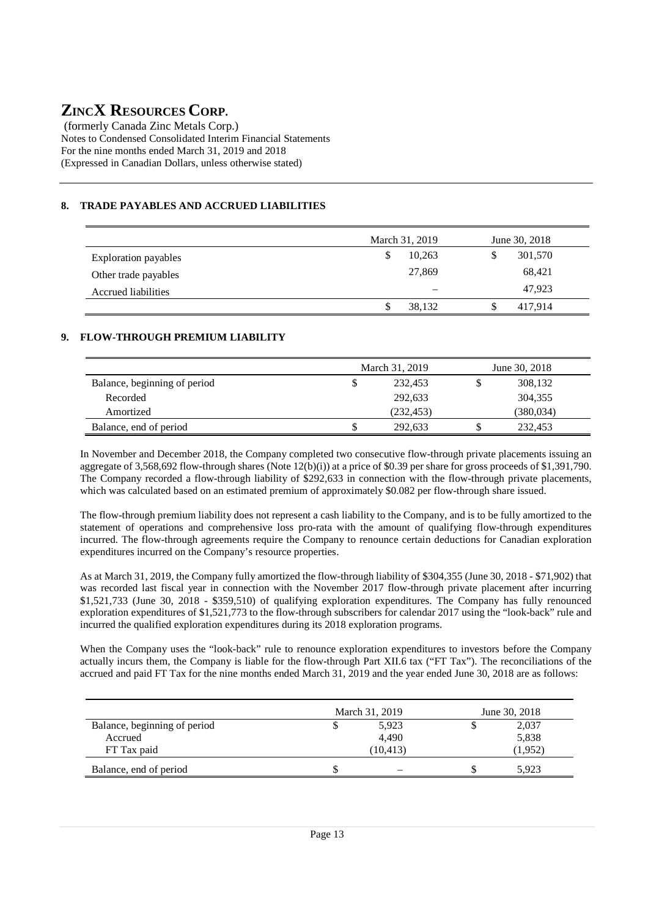(formerly Canada Zinc Metals Corp.) Notes to Condensed Consolidated Interim Financial Statements For the nine months ended March 31, 2019 and 2018 (Expressed in Canadian Dollars, unless otherwise stated)

# **8. TRADE PAYABLES AND ACCRUED LIABILITIES**

|                             | March 31, 2019<br>June 30, 2018 |                 |     |         |  |
|-----------------------------|---------------------------------|-----------------|-----|---------|--|
| <b>Exploration payables</b> | S                               | 10.263          | \$  | 301,570 |  |
| Other trade payables        |                                 | 27,869          |     | 68,421  |  |
| <b>Accrued liabilities</b>  |                                 | $\qquad \qquad$ |     | 47.923  |  |
|                             | S                               | 38,132          | \$. | 417,914 |  |

### **9. FLOW-THROUGH PREMIUM LIABILITY**

|                              |   | March 31, 2019 | June 30, 2018 |           |  |  |
|------------------------------|---|----------------|---------------|-----------|--|--|
| Balance, beginning of period | S | 232,453        |               | 308,132   |  |  |
| Recorded                     |   | 292,633        |               | 304,355   |  |  |
| Amortized                    |   | (232, 453)     |               | (380,034) |  |  |
| Balance, end of period       |   | 292,633        |               | 232,453   |  |  |

In November and December 2018, the Company completed two consecutive flow-through private placements issuing an aggregate of 3,568,692 flow-through shares (Note 12(b)(i)) at a price of \$0.39 per share for gross proceeds of \$1,391,790. The Company recorded a flow-through liability of \$292,633 in connection with the flow-through private placements, which was calculated based on an estimated premium of approximately \$0.082 per flow-through share issued.

The flow-through premium liability does not represent a cash liability to the Company, and is to be fully amortized to the statement of operations and comprehensive loss pro-rata with the amount of qualifying flow-through expenditures incurred. The flow-through agreements require the Company to renounce certain deductions for Canadian exploration expenditures incurred on the Company's resource properties.

As at March 31, 2019, the Company fully amortized the flow-through liability of \$304,355 (June 30, 2018 - \$71,902) that was recorded last fiscal year in connection with the November 2017 flow-through private placement after incurring \$1,521,733 (June 30, 2018 - \$359,510) of qualifying exploration expenditures. The Company has fully renounced exploration expenditures of \$1,521,773 to the flow-through subscribers for calendar 2017 using the "look-back" rule and incurred the qualified exploration expenditures during its 2018 exploration programs.

When the Company uses the "look-back" rule to renounce exploration expenditures to investors before the Company actually incurs them, the Company is liable for the flow-through Part XII.6 tax ("FT Tax"). The reconciliations of the accrued and paid FT Tax for the nine months ended March 31, 2019 and the year ended June 30, 2018 are as follows:

|                              | March 31, 2019 | June 30, 2018 |
|------------------------------|----------------|---------------|
| Balance, beginning of period | 5,923          | 2,037         |
| Accrued                      | 4.490          | 5,838         |
| FT Tax paid                  | (10, 413)      | (1,952)       |
| Balance, end of period       | \$             | 5.923         |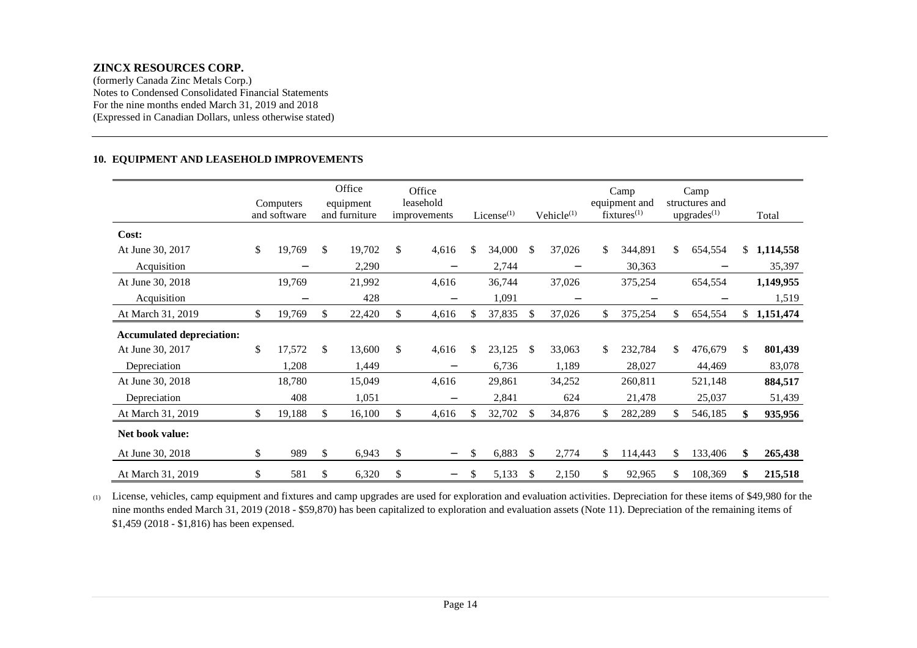(formerly Canada Zinc Metals Corp.) Notes to Condensed Consolidated Financial Statements For the nine months ended March 31, 2019 and 2018 (Expressed in Canadian Dollars, unless otherwise stated)

#### **10. EQUIPMENT AND LEASEHOLD IMPROVEMENTS**

|                                  | Computers<br>and software |     | Office<br>equipment<br>and furniture | Office<br>leasehold<br>improvements |    | $License$ <sup>(1)</sup> |               | Vehicle $(1)$     |     | Camp<br>equipment and<br>$fixtures^{(1)}$ |     | Camp<br>structures and<br>upgrades <sup>(1)</sup> |                | Total     |
|----------------------------------|---------------------------|-----|--------------------------------------|-------------------------------------|----|--------------------------|---------------|-------------------|-----|-------------------------------------------|-----|---------------------------------------------------|----------------|-----------|
| Cost:                            |                           |     |                                      |                                     |    |                          |               |                   |     |                                           |     |                                                   |                |           |
| At June 30, 2017                 | \$<br>19,769              | \$  | 19,702                               | \$<br>4,616                         | \$ | 34,000                   | \$            | 37,026            | \$  | 344,891                                   | \$  | 654,554                                           | \$             | 1,114,558 |
| Acquisition                      |                           |     | 2,290                                |                                     |    | 2,744                    |               |                   |     | 30,363                                    |     |                                                   |                | 35,397    |
| At June 30, 2018                 | 19,769                    |     | 21,992                               | 4,616                               |    | 36,744                   |               | 37,026            |     | 375,254                                   |     | 654,554                                           |                | 1,149,955 |
| Acquisition                      | $\overline{\phantom{0}}$  |     | 428                                  |                                     |    | 1,091                    |               | $\qquad \qquad -$ |     | $\overline{\phantom{0}}$                  |     |                                                   |                | 1,519     |
| At March 31, 2019                | \$<br>19,769              | \$  | 22,420                               | 4,616                               |    | 37,835                   | \$            | 37,026            | \$  | 375,254                                   | \$. | 654,554                                           | $\mathbb{S}^-$ | 1,151,474 |
| <b>Accumulated depreciation:</b> |                           |     |                                      |                                     |    |                          |               |                   |     |                                           |     |                                                   |                |           |
| At June 30, 2017                 | \$<br>17,572              | \$  | 13,600                               | \$<br>4,616                         | \$ | 23,125                   | <sup>\$</sup> | 33,063            | \$  | 232,784                                   | \$  | 476,679                                           | \$             | 801,439   |
| Depreciation                     | 1,208                     |     | 1,449                                |                                     |    | 6,736                    |               | 1,189             |     | 28,027                                    |     | 44,469                                            |                | 83,078    |
| At June 30, 2018                 | 18,780                    |     | 15,049                               | 4,616                               |    | 29,861                   |               | 34,252            |     | 260,811                                   |     | 521,148                                           |                | 884,517   |
| Depreciation                     | 408                       |     | 1,051                                |                                     |    | 2,841                    |               | 624               |     | 21,478                                    |     | 25,037                                            |                | 51,439    |
| At March 31, 2019                | \$<br>19,188              | \$. | 16,100                               | 4,616                               | S  | 32,702                   | \$.           | 34,876            | \$. | 282,289                                   |     | 546,185                                           | \$             | 935,956   |
| Net book value:                  |                           |     |                                      |                                     |    |                          |               |                   |     |                                           |     |                                                   |                |           |
| At June 30, 2018                 | \$<br>989                 | \$  | 6,943                                | \$<br>$\qquad \qquad -$             | \$ | 6,883                    | <sup>\$</sup> | 2,774             | \$  | 114,443                                   | \$. | 133,406                                           | \$             | 265,438   |
| At March 31, 2019                | \$<br>581                 | \$  | 6,320                                | \$<br>-                             | \$ | 5,133                    | \$.           | 2,150             | \$  | 92,965                                    | \$. | 108,369                                           | \$             | 215,518   |

(1) License, vehicles, camp equipment and fixtures and camp upgrades are used for exploration and evaluation activities. Depreciation for these items of \$49,980 for the nine months ended March 31, 2019 (2018 - \$59,870) has been capitalized to exploration and evaluation assets (Note 11). Depreciation of the remaining items of \$1,459 (2018 - \$1,816) has been expensed.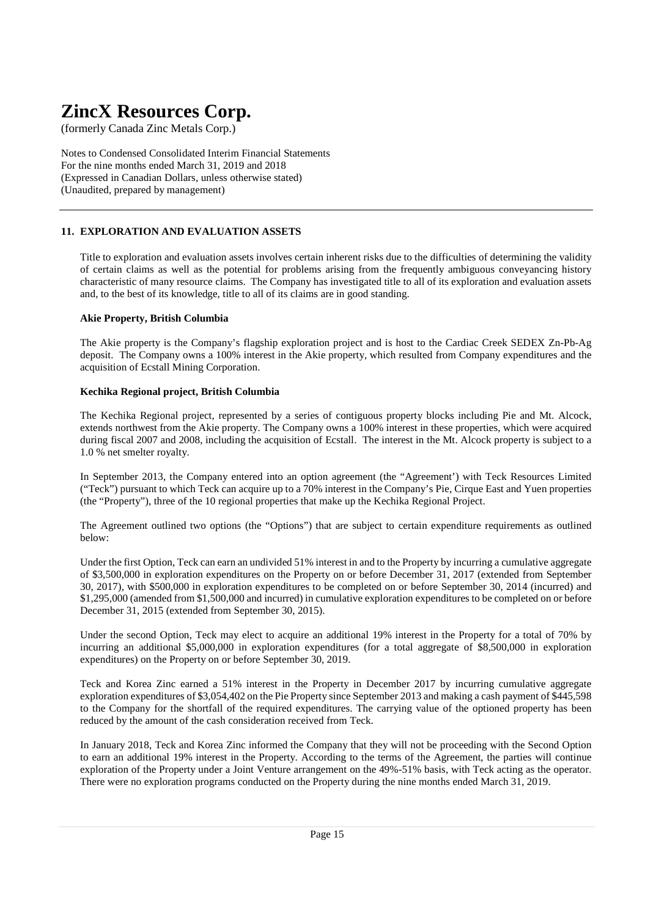(formerly Canada Zinc Metals Corp.)

Notes to Condensed Consolidated Interim Financial Statements For the nine months ended March 31, 2019 and 2018 (Expressed in Canadian Dollars, unless otherwise stated) (Unaudited, prepared by management)

### **11. EXPLORATION AND EVALUATION ASSETS**

Title to exploration and evaluation assets involves certain inherent risks due to the difficulties of determining the validity of certain claims as well as the potential for problems arising from the frequently ambiguous conveyancing history characteristic of many resource claims. The Company has investigated title to all of its exploration and evaluation assets and, to the best of its knowledge, title to all of its claims are in good standing.

#### **Akie Property, British Columbia**

The Akie property is the Company's flagship exploration project and is host to the Cardiac Creek SEDEX Zn-Pb-Ag deposit. The Company owns a 100% interest in the Akie property, which resulted from Company expenditures and the acquisition of Ecstall Mining Corporation.

#### **Kechika Regional project, British Columbia**

The Kechika Regional project, represented by a series of contiguous property blocks including Pie and Mt. Alcock, extends northwest from the Akie property. The Company owns a 100% interest in these properties, which were acquired during fiscal 2007 and 2008, including the acquisition of Ecstall. The interest in the Mt. Alcock property is subject to a 1.0 % net smelter royalty.

In September 2013, the Company entered into an option agreement (the "Agreement') with Teck Resources Limited ("Teck") pursuant to which Teck can acquire up to a 70% interest in the Company's Pie, Cirque East and Yuen properties (the "Property"), three of the 10 regional properties that make up the Kechika Regional Project.

The Agreement outlined two options (the "Options") that are subject to certain expenditure requirements as outlined below:

Under the first Option, Teck can earn an undivided 51% interest in and to the Property by incurring a cumulative aggregate of \$3,500,000 in exploration expenditures on the Property on or before December 31, 2017 (extended from September 30, 2017), with \$500,000 in exploration expenditures to be completed on or before September 30, 2014 (incurred) and \$1,295,000 (amended from \$1,500,000 and incurred) in cumulative exploration expenditures to be completed on or before December 31, 2015 (extended from September 30, 2015).

Under the second Option, Teck may elect to acquire an additional 19% interest in the Property for a total of 70% by incurring an additional \$5,000,000 in exploration expenditures (for a total aggregate of \$8,500,000 in exploration expenditures) on the Property on or before September 30, 2019.

Teck and Korea Zinc earned a 51% interest in the Property in December 2017 by incurring cumulative aggregate exploration expenditures of \$3,054,402 on the Pie Property since September 2013 and making a cash payment of \$445,598 to the Company for the shortfall of the required expenditures. The carrying value of the optioned property has been reduced by the amount of the cash consideration received from Teck.

In January 2018, Teck and Korea Zinc informed the Company that they will not be proceeding with the Second Option to earn an additional 19% interest in the Property. According to the terms of the Agreement, the parties will continue exploration of the Property under a Joint Venture arrangement on the 49%-51% basis, with Teck acting as the operator. There were no exploration programs conducted on the Property during the nine months ended March 31, 2019.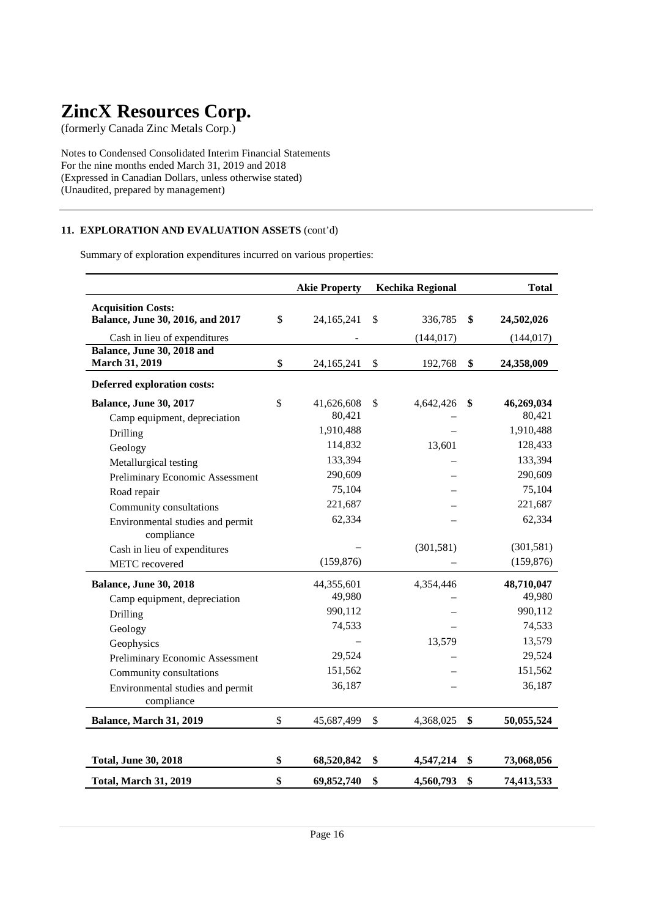(formerly Canada Zinc Metals Corp.)

Notes to Condensed Consolidated Interim Financial Statements For the nine months ended March 31, 2019 and 2018 (Expressed in Canadian Dollars, unless otherwise stated) (Unaudited, prepared by management)

### **11. EXPLORATION AND EVALUATION ASSETS** (cont'd)

Summary of exploration expenditures incurred on various properties:

|                                                                                               | <b>Akie Property</b> | <b>Kechika Regional</b>     | <b>Total</b>                   |
|-----------------------------------------------------------------------------------------------|----------------------|-----------------------------|--------------------------------|
| <b>Acquisition Costs:</b><br>Balance, June 30, 2016, and 2017<br>Cash in lieu of expenditures | \$<br>24,165,241     | \$<br>336,785<br>(144, 017) | \$<br>24,502,026<br>(144, 017) |
| Balance, June 30, 2018 and                                                                    |                      |                             |                                |
| <b>March 31, 2019</b>                                                                         | \$<br>24,165,241     | \$<br>192,768               | \$<br>24,358,009               |
| Deferred exploration costs:                                                                   |                      |                             |                                |
| <b>Balance, June 30, 2017</b>                                                                 | \$<br>41,626,608     | \$<br>4,642,426             | \$<br>46,269,034               |
| Camp equipment, depreciation                                                                  | 80,421               |                             | 80,421                         |
| Drilling                                                                                      | 1,910,488            |                             | 1,910,488                      |
| Geology                                                                                       | 114,832              | 13,601                      | 128,433                        |
| Metallurgical testing                                                                         | 133,394              |                             | 133,394                        |
| Preliminary Economic Assessment                                                               | 290,609              |                             | 290,609                        |
| Road repair                                                                                   | 75,104               |                             | 75,104                         |
| Community consultations                                                                       | 221,687              |                             | 221,687                        |
| Environmental studies and permit<br>compliance                                                | 62,334               |                             | 62,334                         |
| Cash in lieu of expenditures                                                                  |                      | (301, 581)                  | (301, 581)                     |
| <b>METC</b> recovered                                                                         | (159, 876)           |                             | (159, 876)                     |
| <b>Balance, June 30, 2018</b>                                                                 | 44,355,601           | 4,354,446                   | 48,710,047                     |
| Camp equipment, depreciation                                                                  | 49,980               |                             | 49,980                         |
| Drilling                                                                                      | 990,112              |                             | 990,112                        |
| Geology                                                                                       | 74,533               |                             | 74,533                         |
| Geophysics                                                                                    |                      | 13,579                      | 13,579                         |
| Preliminary Economic Assessment                                                               | 29,524               |                             | 29,524                         |
| Community consultations                                                                       | 151,562              |                             | 151,562                        |
| Environmental studies and permit<br>compliance                                                | 36,187               |                             | 36,187                         |
| Balance, March 31, 2019                                                                       | \$<br>45,687,499     | \$<br>4,368,025             | \$<br>50,055,524               |
|                                                                                               |                      |                             |                                |
| <b>Total, June 30, 2018</b>                                                                   | \$<br>68,520,842     | \$<br>4,547,214             | \$<br>73,068,056               |
| <b>Total, March 31, 2019</b>                                                                  | \$<br>69,852,740     | \$<br>4,560,793             | \$<br>74,413,533               |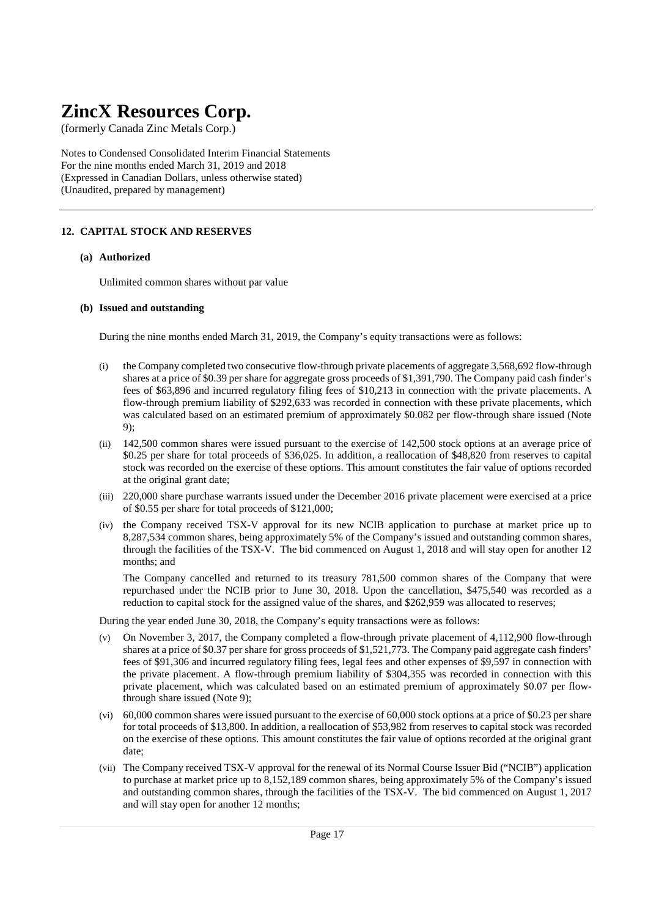(formerly Canada Zinc Metals Corp.)

Notes to Condensed Consolidated Interim Financial Statements For the nine months ended March 31, 2019 and 2018 (Expressed in Canadian Dollars, unless otherwise stated) (Unaudited, prepared by management)

### **12. CAPITAL STOCK AND RESERVES**

#### **(a) Authorized**

Unlimited common shares without par value

#### **(b) Issued and outstanding**

During the nine months ended March 31, 2019, the Company's equity transactions were as follows:

- (i) the Company completed two consecutive flow-through private placements of aggregate 3,568,692 flow-through shares at a price of \$0.39 per share for aggregate gross proceeds of \$1,391,790. The Company paid cash finder's fees of \$63,896 and incurred regulatory filing fees of \$10,213 in connection with the private placements. A flow-through premium liability of \$292,633 was recorded in connection with these private placements, which was calculated based on an estimated premium of approximately \$0.082 per flow-through share issued (Note 9);
- (ii) 142,500 common shares were issued pursuant to the exercise of 142,500 stock options at an average price of \$0.25 per share for total proceeds of \$36,025. In addition, a reallocation of \$48,820 from reserves to capital stock was recorded on the exercise of these options. This amount constitutes the fair value of options recorded at the original grant date;
- (iii) 220,000 share purchase warrants issued under the December 2016 private placement were exercised at a price of \$0.55 per share for total proceeds of \$121,000;
- (iv) the Company received TSX-V approval for its new NCIB application to purchase at market price up to 8,287,534 common shares, being approximately 5% of the Company's issued and outstanding common shares, through the facilities of the TSX-V. The bid commenced on August 1, 2018 and will stay open for another 12 months; and

The Company cancelled and returned to its treasury 781,500 common shares of the Company that were repurchased under the NCIB prior to June 30, 2018. Upon the cancellation, \$475,540 was recorded as a reduction to capital stock for the assigned value of the shares, and \$262,959 was allocated to reserves;

During the year ended June 30, 2018, the Company's equity transactions were as follows:

- (v) On November 3, 2017, the Company completed a flow-through private placement of 4,112,900 flow-through shares at a price of \$0.37 per share for gross proceeds of \$1,521,773. The Company paid aggregate cash finders' fees of \$91,306 and incurred regulatory filing fees, legal fees and other expenses of \$9,597 in connection with the private placement. A flow-through premium liability of \$304,355 was recorded in connection with this private placement, which was calculated based on an estimated premium of approximately \$0.07 per flowthrough share issued (Note 9);
- (vi) 60,000 common shares were issued pursuant to the exercise of 60,000 stock options at a price of \$0.23 per share for total proceeds of \$13,800. In addition, a reallocation of \$53,982 from reserves to capital stock was recorded on the exercise of these options. This amount constitutes the fair value of options recorded at the original grant date;
- (vii) The Company received TSX-V approval for the renewal of its Normal Course Issuer Bid ("NCIB") application to purchase at market price up to 8,152,189 common shares, being approximately 5% of the Company's issued and outstanding common shares, through the facilities of the TSX-V. The bid commenced on August 1, 2017 and will stay open for another 12 months;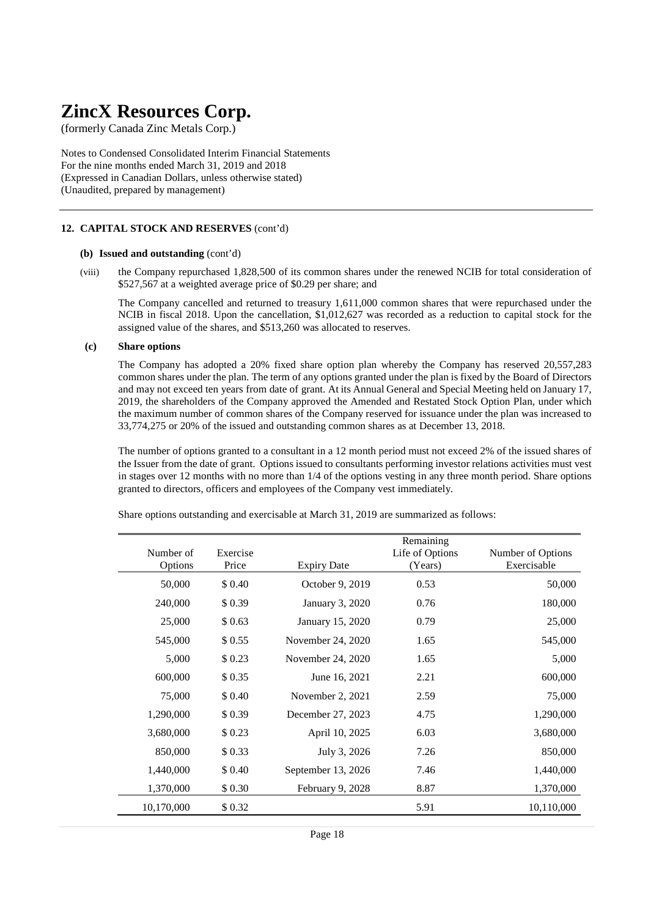(formerly Canada Zinc Metals Corp.)

Notes to Condensed Consolidated Interim Financial Statements For the nine months ended March 31, 2019 and 2018 (Expressed in Canadian Dollars, unless otherwise stated) (Unaudited, prepared by management)

#### **12. CAPITAL STOCK AND RESERVES** (cont'd)

#### **(b) Issued and outstanding** (cont'd)

(viii) the Company repurchased 1,828,500 of its common shares under the renewed NCIB for total consideration of \$527,567 at a weighted average price of \$0.29 per share; and

The Company cancelled and returned to treasury 1,611,000 common shares that were repurchased under the NCIB in fiscal 2018. Upon the cancellation, \$1,012,627 was recorded as a reduction to capital stock for the assigned value of the shares, and \$513,260 was allocated to reserves.

#### **(c) Share options**

 The Company has adopted a 20% fixed share option plan whereby the Company has reserved 20,557,283 common shares under the plan. The term of any options granted under the plan is fixed by the Board of Directors and may not exceed ten years from date of grant. At its Annual General and Special Meeting held on January 17, 2019, the shareholders of the Company approved the Amended and Restated Stock Option Plan, under which the maximum number of common shares of the Company reserved for issuance under the plan was increased to 33,774,275 or 20% of the issued and outstanding common shares as at December 13, 2018.

 The number of options granted to a consultant in a 12 month period must not exceed 2% of the issued shares of the Issuer from the date of grant. Options issued to consultants performing investor relations activities must vest in stages over 12 months with no more than 1/4 of the options vesting in any three month period. Share options granted to directors, officers and employees of the Company vest immediately.

| Number of<br>Options | Exercise<br>Price | <b>Expiry Date</b> | Remaining<br>Life of Options<br>(Years) | Number of Options<br>Exercisable |
|----------------------|-------------------|--------------------|-----------------------------------------|----------------------------------|
| 50,000               | \$ 0.40           | October 9, 2019    | 0.53                                    | 50,000                           |
| 240,000              | \$0.39            | January 3, 2020    | 0.76                                    | 180,000                          |
| 25,000               | \$0.63            | January 15, 2020   | 0.79                                    | 25,000                           |
| 545,000              | \$0.55            | November 24, 2020  | 1.65                                    | 545,000                          |
| 5,000                | \$0.23            | November 24, 2020  | 1.65                                    | 5,000                            |
| 600,000              | \$0.35            | June 16, 2021      | 2.21                                    | 600,000                          |
| 75,000               | \$ 0.40           | November 2, 2021   | 2.59                                    | 75,000                           |
| 1,290,000            | \$0.39            | December 27, 2023  | 4.75                                    | 1,290,000                        |
| 3,680,000            | \$0.23            | April 10, 2025     | 6.03                                    | 3,680,000                        |
| 850,000              | \$0.33            | July 3, 2026       | 7.26                                    | 850,000                          |
| 1,440,000            | \$ 0.40           | September 13, 2026 | 7.46                                    | 1,440,000                        |
| 1,370,000            | \$ 0.30           | February 9, 2028   | 8.87                                    | 1,370,000                        |
| 10,170,000           | \$0.32            |                    | 5.91                                    | 10,110,000                       |

Share options outstanding and exercisable at March 31, 2019 are summarized as follows: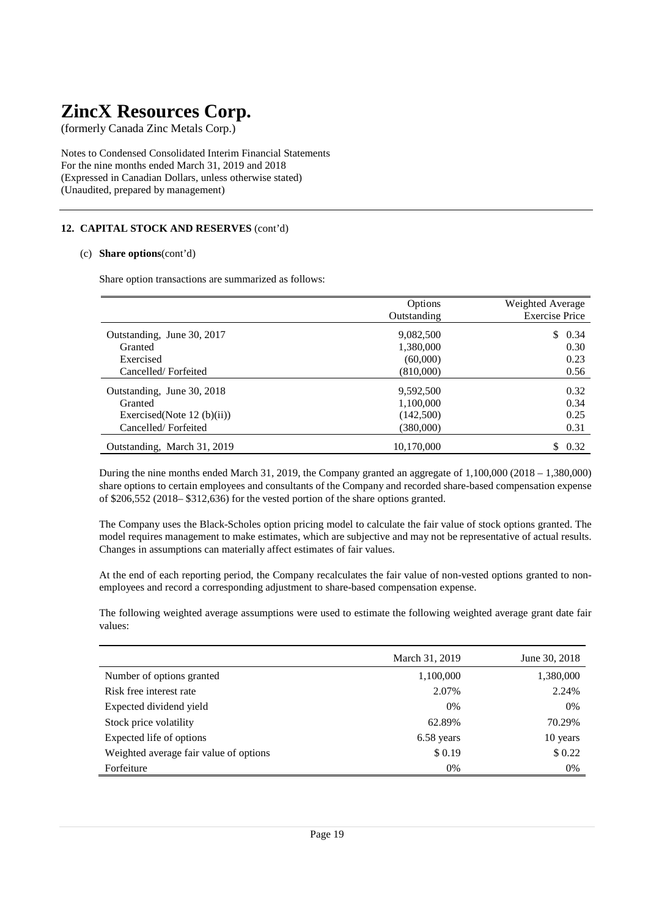(formerly Canada Zinc Metals Corp.)

Notes to Condensed Consolidated Interim Financial Statements For the nine months ended March 31, 2019 and 2018 (Expressed in Canadian Dollars, unless otherwise stated) (Unaudited, prepared by management)

### **12. CAPITAL STOCK AND RESERVES** (cont'd)

#### (c) **Share options**(cont'd)

Share option transactions are summarized as follows:

|                               | Options     | Weighted Average      |
|-------------------------------|-------------|-----------------------|
|                               | Outstanding | <b>Exercise Price</b> |
| Outstanding, June 30, 2017    | 9,082,500   | \$0.34                |
| Granted                       | 1,380,000   | 0.30                  |
| Exercised                     | (60,000)    | 0.23                  |
| Cancelled/Forfeited           | (810,000)   | 0.56                  |
| Outstanding, June 30, 2018    | 9,592,500   | 0.32                  |
| Granted                       | 1,100,000   | 0.34                  |
| Exercised(Note 12 $(b)(ii)$ ) | (142,500)   | 0.25                  |
| Cancelled/Forfeited           | (380,000)   | 0.31                  |
| Outstanding, March 31, 2019   | 10,170,000  | \$.<br>0.32           |

During the nine months ended March 31, 2019, the Company granted an aggregate of 1,100,000 (2018 – 1,380,000) share options to certain employees and consultants of the Company and recorded share-based compensation expense of \$206,552 (2018– \$312,636) for the vested portion of the share options granted.

The Company uses the Black-Scholes option pricing model to calculate the fair value of stock options granted. The model requires management to make estimates, which are subjective and may not be representative of actual results. Changes in assumptions can materially affect estimates of fair values.

At the end of each reporting period, the Company recalculates the fair value of non-vested options granted to nonemployees and record a corresponding adjustment to share-based compensation expense.

The following weighted average assumptions were used to estimate the following weighted average grant date fair values:

|                                        | March 31, 2019 | June 30, 2018 |
|----------------------------------------|----------------|---------------|
| Number of options granted              | 1,100,000      | 1,380,000     |
| Risk free interest rate                | 2.07%          | 2.24%         |
| Expected dividend yield                | 0%             | 0%            |
| Stock price volatility                 | 62.89%         | 70.29%        |
| Expected life of options               | 6.58 years     | 10 years      |
| Weighted average fair value of options | \$0.19         | \$0.22        |
| Forfeiture                             | 0%             | 0%            |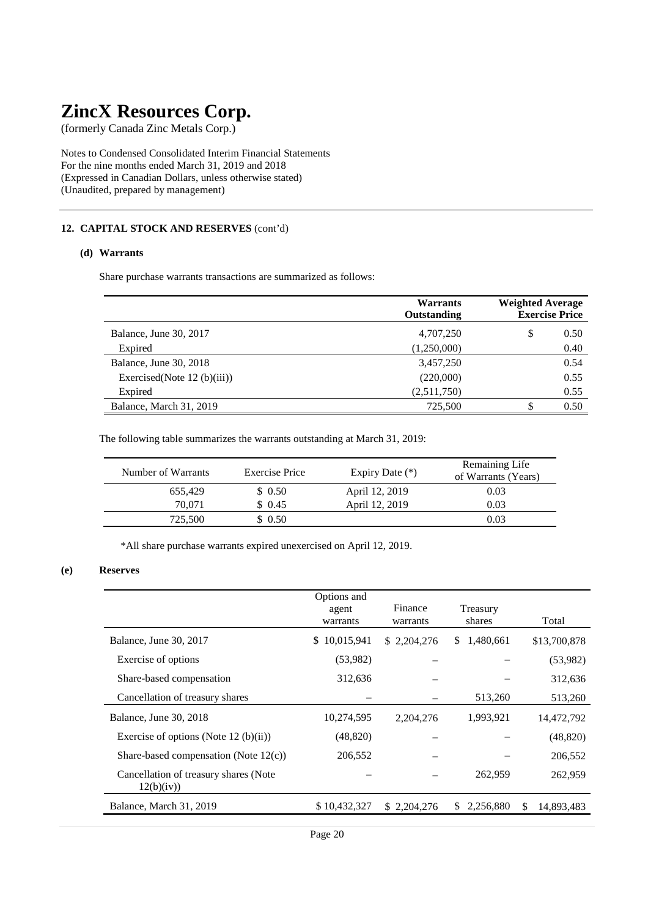(formerly Canada Zinc Metals Corp.)

Notes to Condensed Consolidated Interim Financial Statements For the nine months ended March 31, 2019 and 2018 (Expressed in Canadian Dollars, unless otherwise stated) (Unaudited, prepared by management)

#### **12. CAPITAL STOCK AND RESERVES** (cont'd)

#### **(d) Warrants**

Share purchase warrants transactions are summarized as follows:

|                               | <b>Warrants</b><br>Outstanding | <b>Weighted Average</b><br><b>Exercise Price</b> |
|-------------------------------|--------------------------------|--------------------------------------------------|
| Balance, June 30, 2017        | 4,707,250                      | \$<br>0.50                                       |
| Expired                       | (1,250,000)                    | 0.40                                             |
| Balance, June 30, 2018        | 3,457,250                      | 0.54                                             |
| Exercised(Note $12$ (b)(iii)) | (220,000)                      | 0.55                                             |
| Expired                       | (2,511,750)                    | 0.55                                             |
| Balance, March 31, 2019       | 725.500                        | 0.50<br>\$                                       |

The following table summarizes the warrants outstanding at March 31, 2019:

| Number of Warrants | Exercise Price | Expiry Date $(*)$ | Remaining Life<br>of Warrants (Years) |
|--------------------|----------------|-------------------|---------------------------------------|
| 655.429            | \$0.50         | April 12, 2019    | 0.03                                  |
| 70.071             | \$0.45         | April 12, 2019    | 0.03                                  |
| 725,500            | \$0.50         |                   | 0.03                                  |
|                    |                |                   |                                       |

\*All share purchase warrants expired unexercised on April 12, 2019.

#### **(e) Reserves**

|                                                     | Options and<br>agent<br>warrants | Finance<br>warrants | Treasury<br>shares |          | Total        |
|-----------------------------------------------------|----------------------------------|---------------------|--------------------|----------|--------------|
| Balance, June 30, 2017                              | 10,015,941<br>S.                 | \$2,204,276         | 1,480,661<br>S.    |          | \$13,700,878 |
| Exercise of options                                 | (53,982)                         |                     |                    |          | (53,982)     |
| Share-based compensation                            | 312,636                          |                     |                    |          | 312,636      |
| Cancellation of treasury shares                     |                                  |                     | 513,260            |          | 513,260      |
| Balance, June 30, 2018                              | 10,274,595                       | 2, 204, 276         | 1,993,921          |          | 14,472,792   |
| Exercise of options (Note 12 (b)(ii))               | (48, 820)                        |                     |                    |          | (48, 820)    |
| Share-based compensation (Note $12(c)$ )            | 206,552                          |                     |                    |          | 206,552      |
| Cancellation of treasury shares (Note<br>12(b)(iv)) |                                  |                     | 262,959            |          | 262,959      |
| Balance, March 31, 2019                             | \$10,432,327                     | \$2,204,276         | 2,256,880<br>S.    | <b>S</b> | 14.893.483   |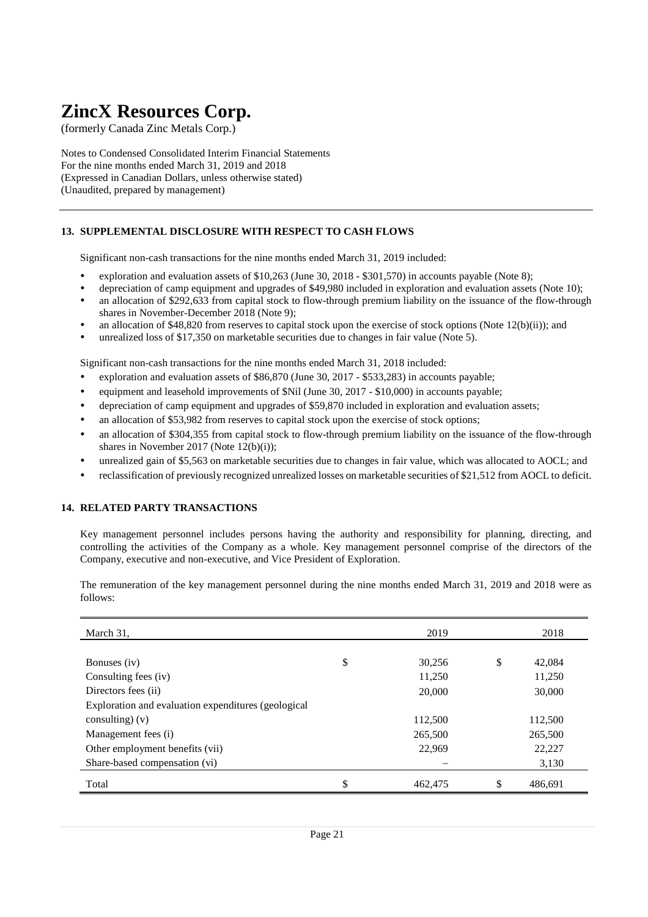(formerly Canada Zinc Metals Corp.)

Notes to Condensed Consolidated Interim Financial Statements For the nine months ended March 31, 2019 and 2018 (Expressed in Canadian Dollars, unless otherwise stated) (Unaudited, prepared by management)

### **13. SUPPLEMENTAL DISCLOSURE WITH RESPECT TO CASH FLOWS**

Significant non-cash transactions for the nine months ended March 31, 2019 included:

- exploration and evaluation assets of \$10,263 (June 30, 2018 \$301,570) in accounts payable (Note 8);
- depreciation of camp equipment and upgrades of \$49,980 included in exploration and evaluation assets (Note 10);
- an allocation of \$292,633 from capital stock to flow-through premium liability on the issuance of the flow-through shares in November-December 2018 (Note 9);
- an allocation of \$48,820 from reserves to capital stock upon the exercise of stock options (Note 12(b)(ii)); and
- unrealized loss of \$17,350 on marketable securities due to changes in fair value (Note 5).

Significant non-cash transactions for the nine months ended March 31, 2018 included:

- exploration and evaluation assets of \$86,870 (June 30, 2017 \$533,283) in accounts payable;
- equipment and leasehold improvements of \$Nil (June 30, 2017 \$10,000) in accounts payable;
- depreciation of camp equipment and upgrades of \$59,870 included in exploration and evaluation assets;
- an allocation of \$53,982 from reserves to capital stock upon the exercise of stock options;
- an allocation of \$304,355 from capital stock to flow-through premium liability on the issuance of the flow-through shares in November 2017 (Note 12(b)(i));
- unrealized gain of \$5,563 on marketable securities due to changes in fair value, which was allocated to AOCL; and
- reclassification of previously recognized unrealized losses on marketable securities of \$21,512 from AOCL to deficit.

#### **14. RELATED PARTY TRANSACTIONS**

Key management personnel includes persons having the authority and responsibility for planning, directing, and controlling the activities of the Company as a whole. Key management personnel comprise of the directors of the Company, executive and non-executive, and Vice President of Exploration.

The remuneration of the key management personnel during the nine months ended March 31, 2019 and 2018 were as follows:

| March 31,                                           | 2019          | 2018          |
|-----------------------------------------------------|---------------|---------------|
|                                                     |               |               |
| Bonuses (iv)                                        | \$<br>30,256  | \$<br>42,084  |
| Consulting fees (iv)                                | 11,250        | 11,250        |
| Directors fees (ii)                                 | 20,000        | 30,000        |
| Exploration and evaluation expenditures (geological |               |               |
| consulting) $(v)$                                   | 112,500       | 112,500       |
| Management fees (i)                                 | 265,500       | 265,500       |
| Other employment benefits (vii)                     | 22,969        | 22,227        |
| Share-based compensation (vi)                       |               | 3,130         |
| Total                                               | \$<br>462,475 | \$<br>486.691 |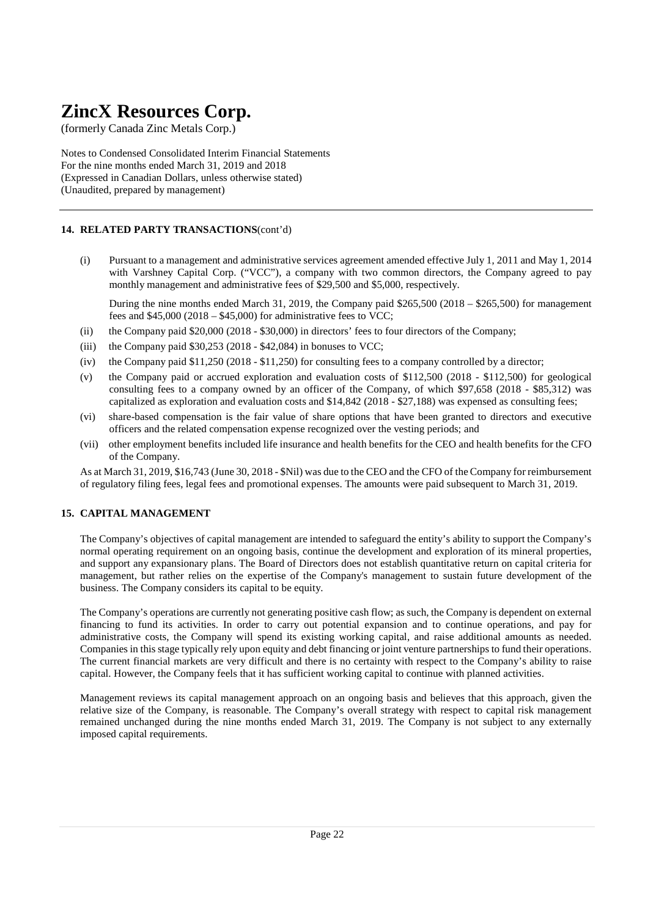(formerly Canada Zinc Metals Corp.)

Notes to Condensed Consolidated Interim Financial Statements For the nine months ended March 31, 2019 and 2018 (Expressed in Canadian Dollars, unless otherwise stated) (Unaudited, prepared by management)

## **14. RELATED PARTY TRANSACTIONS**(cont'd)

(i) Pursuant to a management and administrative services agreement amended effective July 1, 2011 and May 1, 2014 with Varshney Capital Corp. ("VCC"), a company with two common directors, the Company agreed to pay monthly management and administrative fees of \$29,500 and \$5,000, respectively.

During the nine months ended March 31, 2019, the Company paid \$265,500 (2018 – \$265,500) for management fees and  $$45,000 (2018 - $45,000)$  for administrative fees to VCC;

- (ii) the Company paid \$20,000 (2018 \$30,000) in directors' fees to four directors of the Company;
- (iii) the Company paid  $$30,253$  (2018  $$42,084$ ) in bonuses to VCC;
- (iv) the Company paid \$11,250 (2018 \$11,250) for consulting fees to a company controlled by a director;
- (v) the Company paid or accrued exploration and evaluation costs of \$112,500 (2018 \$112,500) for geological consulting fees to a company owned by an officer of the Company, of which \$97,658 (2018 - \$85,312) was capitalized as exploration and evaluation costs and \$14,842 (2018 - \$27,188) was expensed as consulting fees;
- (vi) share-based compensation is the fair value of share options that have been granted to directors and executive officers and the related compensation expense recognized over the vesting periods; and
- (vii) other employment benefits included life insurance and health benefits for the CEO and health benefits for the CFO of the Company.

As at March 31, 2019, \$16,743 (June 30, 2018 - \$Nil) was due to the CEO and the CFO of the Company for reimbursement of regulatory filing fees, legal fees and promotional expenses. The amounts were paid subsequent to March 31, 2019.

### **15. CAPITAL MANAGEMENT**

The Company's objectives of capital management are intended to safeguard the entity's ability to support the Company's normal operating requirement on an ongoing basis, continue the development and exploration of its mineral properties, and support any expansionary plans. The Board of Directors does not establish quantitative return on capital criteria for management, but rather relies on the expertise of the Company's management to sustain future development of the business. The Company considers its capital to be equity.

The Company's operations are currently not generating positive cash flow; as such, the Company is dependent on external financing to fund its activities. In order to carry out potential expansion and to continue operations, and pay for administrative costs, the Company will spend its existing working capital, and raise additional amounts as needed. Companies in this stage typically rely upon equity and debt financing or joint venture partnerships to fund their operations. The current financial markets are very difficult and there is no certainty with respect to the Company's ability to raise capital. However, the Company feels that it has sufficient working capital to continue with planned activities.

Management reviews its capital management approach on an ongoing basis and believes that this approach, given the relative size of the Company, is reasonable. The Company's overall strategy with respect to capital risk management remained unchanged during the nine months ended March 31, 2019. The Company is not subject to any externally imposed capital requirements.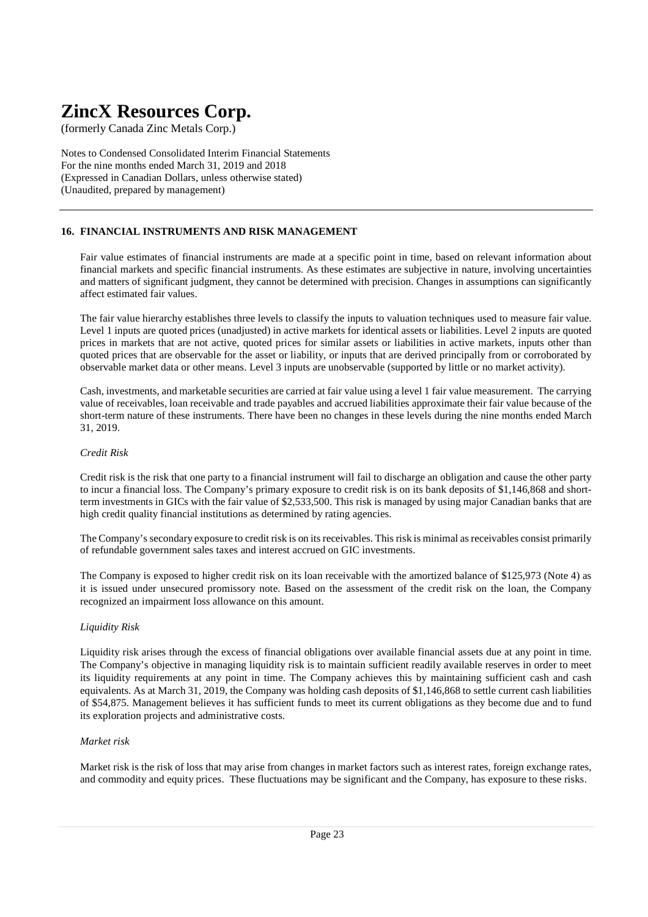(formerly Canada Zinc Metals Corp.)

Notes to Condensed Consolidated Interim Financial Statements For the nine months ended March 31, 2019 and 2018 (Expressed in Canadian Dollars, unless otherwise stated) (Unaudited, prepared by management)

### **16. FINANCIAL INSTRUMENTS AND RISK MANAGEMENT**

Fair value estimates of financial instruments are made at a specific point in time, based on relevant information about financial markets and specific financial instruments. As these estimates are subjective in nature, involving uncertainties and matters of significant judgment, they cannot be determined with precision. Changes in assumptions can significantly affect estimated fair values.

The fair value hierarchy establishes three levels to classify the inputs to valuation techniques used to measure fair value. Level 1 inputs are quoted prices (unadjusted) in active markets for identical assets or liabilities. Level 2 inputs are quoted prices in markets that are not active, quoted prices for similar assets or liabilities in active markets, inputs other than quoted prices that are observable for the asset or liability, or inputs that are derived principally from or corroborated by observable market data or other means. Level 3 inputs are unobservable (supported by little or no market activity).

Cash, investments, and marketable securities are carried at fair value using a level 1 fair value measurement. The carrying value of receivables, loan receivable and trade payables and accrued liabilities approximate their fair value because of the short-term nature of these instruments. There have been no changes in these levels during the nine months ended March 31, 2019.

#### *Credit Risk*

Credit risk is the risk that one party to a financial instrument will fail to discharge an obligation and cause the other party to incur a financial loss. The Company's primary exposure to credit risk is on its bank deposits of \$1,146,868 and shortterm investments in GICs with the fair value of \$2,533,500. This risk is managed by using major Canadian banks that are high credit quality financial institutions as determined by rating agencies.

The Company's secondary exposure to credit risk is on its receivables. This risk is minimal as receivables consist primarily of refundable government sales taxes and interest accrued on GIC investments.

The Company is exposed to higher credit risk on its loan receivable with the amortized balance of \$125,973 (Note 4) as it is issued under unsecured promissory note. Based on the assessment of the credit risk on the loan, the Company recognized an impairment loss allowance on this amount.

#### *Liquidity Risk*

Liquidity risk arises through the excess of financial obligations over available financial assets due at any point in time. The Company's objective in managing liquidity risk is to maintain sufficient readily available reserves in order to meet its liquidity requirements at any point in time. The Company achieves this by maintaining sufficient cash and cash equivalents. As at March 31, 2019, the Company was holding cash deposits of \$1,146,868 to settle current cash liabilities of \$54,875. Management believes it has sufficient funds to meet its current obligations as they become due and to fund its exploration projects and administrative costs.

#### *Market risk*

Market risk is the risk of loss that may arise from changes in market factors such as interest rates, foreign exchange rates, and commodity and equity prices. These fluctuations may be significant and the Company, has exposure to these risks.